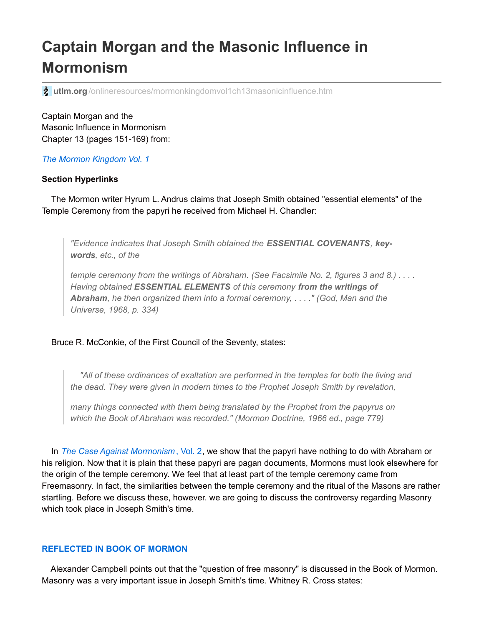# **Captain Morgan and the Masonic Influence in Mormonism**

**2** utlm.org[/onlineresources/mormonkingdomvol1ch13masonicinfluence.htm](http://www.utlm.org/onlineresources/mormonkingdomvol1ch13masonicinfluence.htm)

Captain Morgan and the Masonic Influence in Mormonism Chapter 13 (pages 151-169) from:

*The Mormon [Kingdom](http://www.utlm.org/booklist/titles/mormonkingdomvol1_ub029.htm) Vol. 1*

## **Section Hyperlinks**

The Mormon writer Hyrum L. Andrus claims that Joseph Smith obtained "essential elements" of the Temple Ceremony from the papyri he received from Michael H. Chandler:

*"Evidence indicates that Joseph Smith obtained the ESSENTIAL COVENANTS, keywords, etc., of the*

temple ceremony from the writings of Abraham. (See Facsimile No. 2, figures 3 and 8.)  $\dots$ *Having obtained ESSENTIAL ELEMENTS of this ceremony from the writings of Abraham, he then organized them into a formal ceremony, . . . ." (God, Man and the Universe, 1968, p. 334)*

## Bruce R. McConkie, of the First Council of the Seventy, states:

*"All of these ordinances of exaltation are performed in the temples for both the living and the dead. They were given in modern times to the Prophet Joseph Smith by revelation,*

*many things connected with them being translated by the Prophet from the papyrus on which the Book of Abraham was recorded." (Mormon Doctrine, 1966 ed., page 779)*

In *The Case Against [Mormonism](http://www.utlm.org/booklist/titles/caseagainstmormonismvol2_ub027.htm)* , Vol. 2, we show that the papyri have nothing to do with Abraham or his religion. Now that it is plain that these papyri are pagan documents, Mormons must look elsewhere for the origin of the temple ceremony. We feel that at least part of the temple ceremony came from Freemasonry. In fact, the similarities between the temple ceremony and the ritual of the Masons are rather startling. Before we discuss these, however. we are going to discuss the controversy regarding Masonry which took place in Joseph Smith's time.

### **REFLECTED IN BOOK OF MORMON**

Alexander Campbell points out that the "question of free masonry" is discussed in the Book of Mormon. Masonry was a very important issue in Joseph Smith's time. Whitney R. Cross states: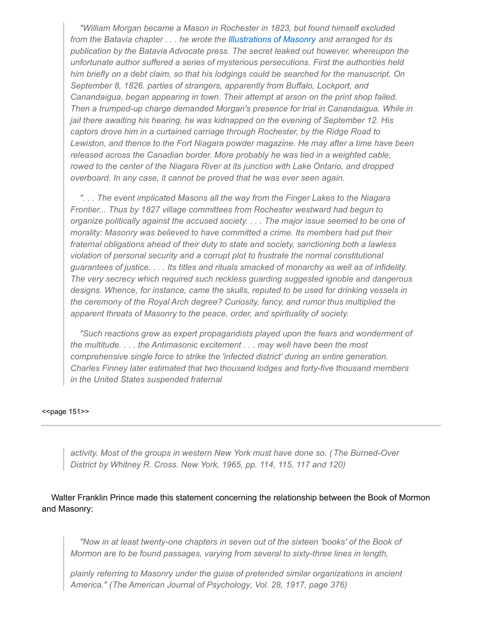*"William Morgan became a Mason in Rochester in 1823, but found himself excluded from the Batavia chapter . . . he wrote the [Illustrations](http://www.utlm.org/onlinebooks/captmorgansfreemasonrycontents.htm) of Masonry and arranged for its publication by the Batavia Advocate press. The secret leaked out however, whereupon the unfortunate author suffered a series of mysterious persecutions. First the authorities held him briefly on a debt claim, so that his lodgings could be searched for the manuscript. On September 8, 1826. parties of strangers, apparently from Buffalo, Lockport, and Canandaigua, began appearing in town. Their attempt at arson on the print shop failed. Then a trumped-up charge demanded Morgan's presence for trial in Canandaigua. While in jail there awaiting his hearing, he was kidnapped on the evening of September 12. His captors drove him in a curtained carriage through Rochester, by the Ridge Road to Lewiston, and thence to the Fort Niagara powder magazine. He may after a time have been released across the Canadian border. More probably he was tied in a weighted cable, rowed to the center of the Niagara River at its junction with Lake Ontario, and dropped overboard. In any case, it cannot be proved that he was ever seen again.*

*". . . The event implicated Masons all the way from the Finger Lakes to the Niagara Frontier... Thus by 1827 village committees from Rochester westward had begun to organize politically against the accused society. . . . The major issue seemed to be one of morality: Masonry was believed to have committed a crime. Its members had put their fraternal obligations ahead of their duty to state and society, sanctioning both a lawless violation of personal security and a corrupt plot to frustrate the normal constitutional guarantees of justice. . . . Its titles and rituals smacked of monarchy as well as of infidelity. The very secrecy which required such reckless guarding suggested ignoble and dangerous designs. Whence, for instance, came the skulls, reputed to be used for drinking vessels in the ceremony of the Royal Arch degree? Curiosity, fancy, and rumor thus multiplied the apparent threats of Masonry to the peace, order, and spirituality of society.*

*"Such reactions grew as expert propagandists played upon the fears and wonderment of the multitude. . . . the Antimasonic excitement . . . may well have been the most comprehensive single force to strike the 'infected district' during an entire generation. Charles Finney later estimated that two thousand lodges and forty-five thousand members in the United States suspended fraternal*

#### <<page 151>>

*activity. Most of the groups in western New York must have done so. (The Burned-Over District by Whitney R. Cross. New York, 1965, pp. 114, 115, 117 and 120)*

Walter Franklin Prince made this statement concerning the relationship between the Book of Mormon and Masonry:

*"Now in at least twenty-one chapters in seven out of the sixteen 'books' of the Book of Mormon are to be found passages, varying from several to sixty-three lines in length,*

*plainly referring to Masonry under the guise of pretended similar organizations in ancient America." (The American Journal of Psychology, Vol. 28, 1917, page 376)*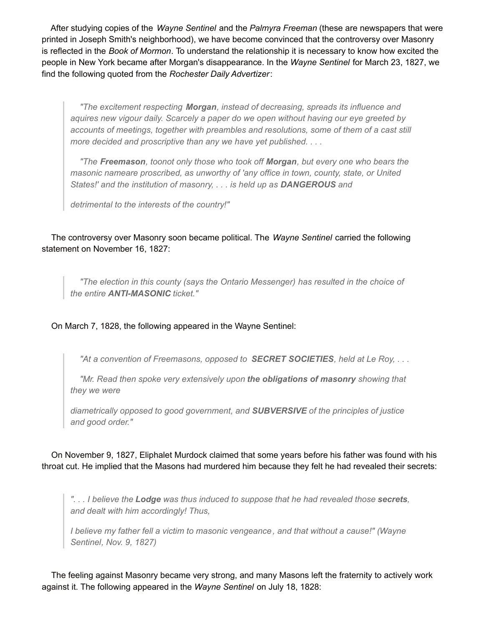After studying copies of the *Wayne Sentinel* and the *Palmyra Freeman* (these are newspapers that were printed in Joseph Smith's neighborhood), we have become convinced that the controversy over Masonry is reflected in the *Book of Mormon*. To understand the relationship it is necessary to know how excited the people in New York became after Morgan's disappearance. In the *Wayne Sentinel* for March 23, 1827, we find the following quoted from the *Rochester Daily Advertizer*:

*"The excitement respecting Morgan, instead of decreasing, spreads its influence and aquires new vigour daily. Scarcely a paper do we open without having our eye greeted by accounts of meetings, together with preambles and resolutions, some of them of a cast still more decided and proscriptive than any we have yet published. . . .*

*"The Freemason, toonot only those who took off Morgan, but every one who bears the masonic nameare proscribed, as unworthy of 'any office in town, county, state, or United States!' and the institution of masonry, . . . is held up as DANGEROUS and*

*detrimental to the interests of the country!"*

The controversy over Masonry soon became political. The *Wayne Sentinel* carried the following statement on November 16, 1827:

*"The election in this county (says the Ontario Messenger) has resulted in the choice of the entire ANTI-MASONIC ticket."*

On March 7, 1828, the following appeared in the Wayne Sentinel:

*"At a convention of Freemasons, opposed to SECRET SOCIETIES, held at Le Roy, . . .*

*"Mr. Read then spoke very extensively upon the obligations of masonry showing that they we were*

*diametrically opposed to good government, and SUBVERSIVE of the principles of justice and good order."*

On November 9, 1827, Eliphalet Murdock claimed that some years before his father was found with his throat cut. He implied that the Masons had murdered him because they felt he had revealed their secrets:

*". . . I believe the Lodge was thus induced to suppose that he had revealed those secrets, and dealt with him accordingly! Thus,*

*I believe my father fell a victim to masonic vengeance, and that without a cause!" (Wayne Sentinel, Nov. 9, 1827)*

The feeling against Masonry became very strong, and many Masons left the fraternity to actively work against it. The following appeared in the *Wayne Sentinel* on July 18, 1828: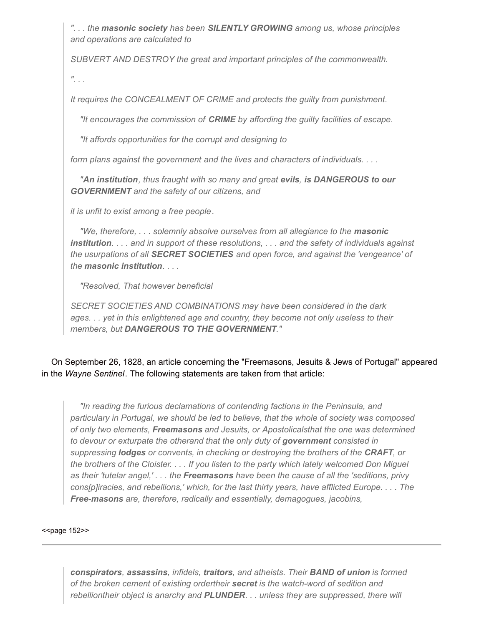*". . . the masonic society has been SILENTLY GROWING among us, whose principles and operations are calculated to*

*SUBVERT AND DESTROY the great and important principles of the commonwealth.*

*". . .*

*It requires the CONCEALMENT OF CRIME and protects the guilty from punishment.*

*"It encourages the commission of CRIME by affording the guilty facilities of escape.*

*"It affords opportunities for the corrupt and designing to*

*form plans against the government and the lives and characters of individuals. . . .*

*"An institution, thus fraught with so many and great evils, is DANGEROUS to our GOVERNMENT and the safety of our citizens, and*

*it is unfit to exist among a free people.*

*"We, therefore, . . . solemnly absolve ourselves from all allegiance to the masonic* institution. . . . and in support of these resolutions, . . . and the safety of individuals against *the usurpations of all SECRET SOCIETIES and open force, and against the 'vengeance' of the masonic institution. . . .*

*"Resolved, That however beneficial*

*SECRET SOCIETIES AND COMBINATIONS may have been considered in the dark ages. . . yet in this enlightened age and country, they become not only useless to their members, but DANGEROUS TO THE GOVERNMENT."*

On September 26, 1828, an article concerning the "Freemasons, Jesuits & Jews of Portugal" appeared in the *Wayne Sentinel*. The following statements are taken from that article:

*"In reading the furious declamations of contending factions in the Peninsula, and particulary in Portugal, we should be led to believe, that the whole of society was composed of only two elements, Freemasons and Jesuits, or Apostolicalsthat the one was determined to devour or exturpate the otherand that the only duty of government consisted in suppressing lodges or convents, in checking or destroying the brothers of the CRAFT, or* the brothers of the Cloister. . . . If you listen to the party which lately welcomed Don Miguel *as their 'tutelar angel,' . . . the Freemasons have been the cause of all the 'seditions, privy cons[p]iracies, and rebellions,' which, for the last thirty years, have afflicted Europe. . . . The Free-masons are, therefore, radically and essentially, demagogues, jacobins,*

#### <<page 152>>

*conspirators, assassins, infidels, traitors, and atheists. Their BAND of union is formed of the broken cement of existing ordertheir secret is the watch-word of sedition and rebelliontheir object is anarchy and PLUNDER. . . unless they are suppressed, there will*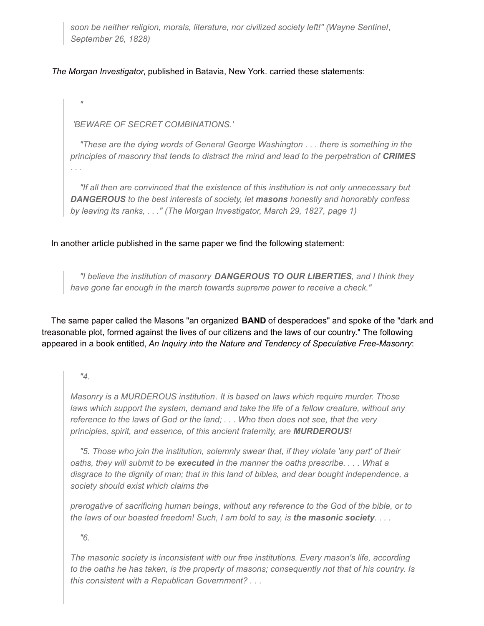*soon be neither religion, morals, literature, nor civilized society left!" (Wayne Sentinel, September 26, 1828)*

*The Morgan Investigator*, published in Batavia, New York. carried these statements:

*'BEWARE OF SECRET COMBINATIONS.'*

*"These are the dying words of General George Washington . . . there is something in the principles of masonry that tends to distract the mind and lead to the perpetration of CRIMES . . .*

*"If all then are convinced that the existence of this institution is not only unnecessary but DANGEROUS to the best interests of society, let masons honestly and honorably confess by leaving its ranks, . . ." (The Morgan Investigator, March 29, 1827, page 1)*

In another article published in the same paper we find the following statement:

*"I believe the institution of masonry DANGEROUS TO OUR LIBERTIES, and I think they have gone far enough in the march towards supreme power to receive a check."*

The same paper called the Masons "an organized **BAND** of desperadoes" and spoke of the "dark and treasonable plot, formed against the lives of our citizens and the laws of our country." The following appeared in a book entitled, *An Inquiry into the Nature and Tendency of Speculative Free-Masonry*:

## *"4.*

*"*

*Masonry is a MURDEROUS institution. It is based on laws which require murder. Those laws which support the system, demand and take the life of a fellow creature, without any reference to the laws of God or the land; . . . Who then does not see, that the very principles, spirit, and essence, of this ancient fraternity, are MURDEROUS!*

*"5. Those who join the institution, solemnly swear that, if they violate 'any part' of their oaths, they will submit to be executed in the manner the oaths prescribe. . . . What a disgrace to the dignity of man; that in this land of bibles, and dear bought independence, a society should exist which claims the*

*prerogative of sacrificing human beings, without any reference to the God of the bible, or to* the laws of our boasted freedom! Such, I am bold to say, is the masonic society.  $\dots$ 

*"6.*

*The masonic society is inconsistent with our free institutions. Every mason's life, according to the oaths he has taken, is the property of masons; consequently not that of his country. Is this consistent with a Republican Government? . . .*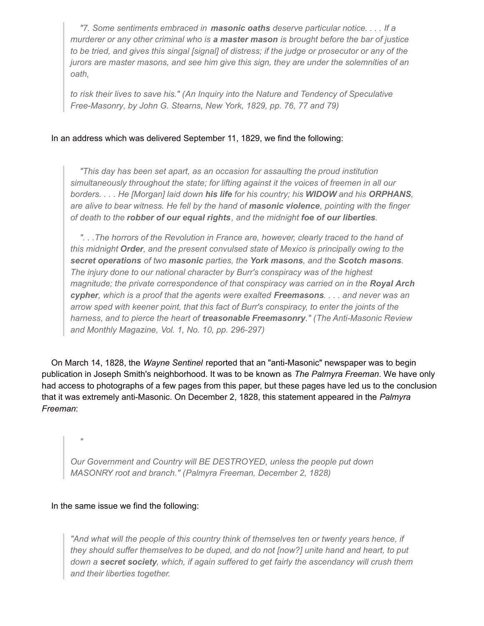*"7. Some sentiments embraced in masonic oaths deserve particular notice. . . . If a murderer or any other criminal who is a master mason is brought before the bar of justice* to be tried, and gives this singal [signal] of distress; if the judge or prosecutor or any of the *jurors are master masons, and see him give this sign, they are under the solemnities of an oath,*

*to risk their lives to save his." (An Inquiry into the Nature and Tendency of Speculative Free-Masonry, by John G. Stearns, New York, 1829, pp. 76, 77 and 79)*

## In an address which was delivered September 11, 1829, we find the following:

*"This day has been set apart, as an occasion for assaulting the proud institution simultaneously throughout the state; for lifting against it the voices of freemen in all our borders. . . . He [Morgan] laid down his life for his country; his WIDOW and his ORPHANS, are alive to bear witness. He fell by the hand of masonic violence, pointing with the finger of death to the robber of our equal rights, and the midnight foe of our liberties.*

*". . .The horrors of the Revolution in France are, however, clearly traced to the hand of this midnight Order, and the present convulsed state of Mexico is principally owing to the secret operations of two masonic parties, the York masons, and the Scotch masons. The injury done to our national character by Burr's conspiracy was of the highest magnitude; the private correspondence of that conspiracy was carried on in the Royal Arch* cypher, which is a proof that the agents were exalted Freemasons. . . . and never was an *arrow sped with keener point, that this fact of Burr's conspiracy, to enter the joints of the harness, and to pierce the heart of treasonable Freemasonry." (The Anti-Masonic Review and Monthly Magazine, Vol. 1, No. 10, pp. 296-297)*

On March 14, 1828, the *Wayne Sentinel* reported that an "anti-Masonic" newspaper was to begin publication in Joseph Smith's neighborhood. It was to be known as *The Palmyra Freeman*. We have only had access to photographs of a few pages from this paper, but these pages have led us to the conclusion that it was extremely anti-Masonic. On December 2, 1828, this statement appeared in the *Palmyra Freeman*:

*Our Government and Country will BE DESTROYED, unless the people put down MASONRY root and branch." (Palmyra Freeman, December 2, 1828)*

### In the same issue we find the following:

*"*

*"And what will the people of this country think of themselves ten or twenty years hence, if they should suffer themselves to be duped, and do not [now?] unite hand and heart, to put down a secret society, which, if again suffered to get fairly the ascendancy will crush them and their liberties together.*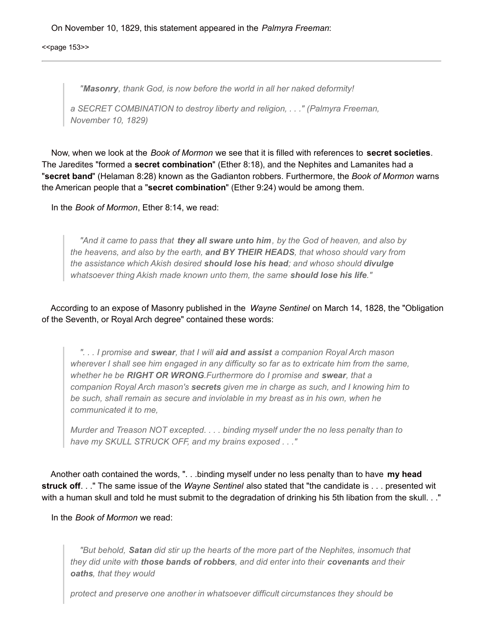On November 10, 1829, this statement appeared in the *Palmyra Freeman*:

<<br />page 153>>

*"Masonry, thank God, is now before the world in all her naked deformity!*

*a SECRET COMBINATION to destroy liberty and religion, . . ." (Palmyra Freeman, November 10, 1829)*

Now, when we look at the *Book of Mormon* we see that it is filled with references to **secret societies**. The Jaredites "formed a **secret combination**" (Ether 8:18), and the Nephites and Lamanites had a "**secret band**" (Helaman 8:28) known as the Gadianton robbers. Furthermore, the *Book of Mormon* warns the American people that a "**secret combination**" (Ether 9:24) would be among them.

In the *Book of Mormon*, Ether 8:14, we read:

*"And it came to pass that they all sware unto him, by the God of heaven, and also by the heavens, and also by the earth, and BY THEIR HEADS, that whoso should vary from the assistance which Akish desired should lose his head; and whoso should divulge whatsoever thing Akish made known unto them, the same should lose his life."*

According to an expose of Masonry published in the *Wayne Sentinel* on March 14, 1828, the "Obligation of the Seventh, or Royal Arch degree" contained these words:

*". . . I promise and swear, that I will aid and assist a companion Royal Arch mason wherever I shall see him engaged in any difficulty so far as to extricate him from the same, whether he be RIGHT OR WRONG.Furthermore do I promise and swear, that a companion Royal Arch mason's secrets given me in charge as such, and I knowing him to be such, shall remain as secure and inviolable in my breast as in his own, when he communicated it to me,*

*Murder and Treason NOT excepted. . . . binding myself under the no less penalty than to have my SKULL STRUCK OFF, and my brains exposed . . ."*

Another oath contained the words, ". . .binding myself under no less penalty than to have **my head struck off**. . ." The same issue of the *Wayne Sentinel* also stated that "the candidate is . . . presented wit with a human skull and told he must submit to the degradation of drinking his 5th libation from the skull. . ."

In the *Book of Mormon* we read:

*"But behold, Satan did stir up the hearts of the more part of the Nephites, insomuch that they did unite with those bands of robbers, and did enter into their covenants and their oaths, that they would*

*protect and preserve one another in whatsoever difficult circumstances they should be*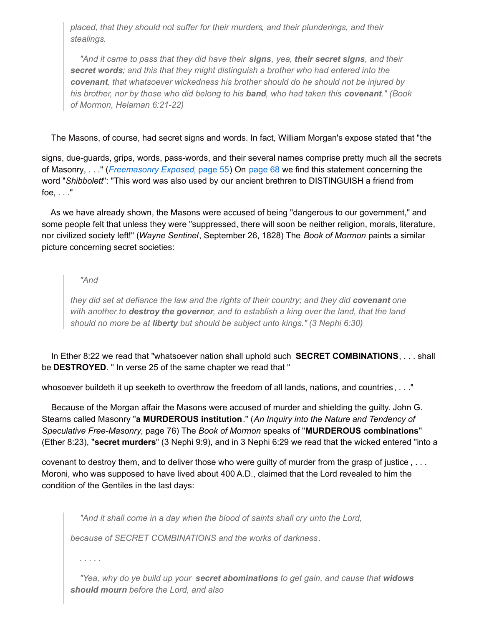*placed, that they should not suffer for their murders, and their plunderings, and their stealings.*

*"And it came to pass that they did have their signs, yea, their secret signs, and their secret words; and this that they might distinguish a brother who had entered into the covenant, that whatsoever wickedness his brother should do he should not be injured by his brother, nor by those who did belong to his band, who had taken this covenant." (Book of Mormon, Helaman 6:21-22)*

## The Masons, of course, had secret signs and words. In fact, William Morgan's expose stated that "the

signs, due-guards, grips, words, pass-words, and their several names comprise pretty much all the secrets of Masonry, . . ." (*[Freemasonry](http://www.utlm.org/onlinebooks/captmorgansfreemasonry3.htm#55) Exposed*, page 55) On [page](http://www.utlm.org/onlinebooks/captmorgansfreemasonry4.htm#68) 68 we find this statement concerning the word "*Shibbolett*": "This word was also used by our ancient brethren to DISTINGUISH a friend from foe, . . ."

As we have already shown, the Masons were accused of being "dangerous to our government," and some people felt that unless they were "suppressed, there will soon be neither religion, morals, literature, nor civilized society left!" (*Wayne Sentinel*, September 26, 1828) The *Book of Mormon* paints a similar picture concerning secret societies:

## *"And*

*they did set at defiance the law and the rights of their country; and they did covenant one with another to destroy the governor, and to establish a king over the land, that the land should no more be at liberty but should be subject unto kings." (3 Nephi 6:30)*

In Ether 8:22 we read that "whatsoever nation shall uphold such **SECRET COMBINATIONS**, . . . shall be **DESTROYED**. " In verse 25 of the same chapter we read that "

whosoever buildeth it up seeketh to overthrow the freedom of all lands, nations, and countries, . . ."

Because of the Morgan affair the Masons were accused of murder and shielding the guilty. John G. Stearns called Masonry "**a MURDEROUS institution**." (*An Inquiry into the Nature and Tendency of Speculative Free-Masonry*, page 76) The *Book of Mormon* speaks of "**MURDEROUS combinations**" (Ether 8:23), "**secret murders**" (3 Nephi 9:9), and in 3 Nephi 6:29 we read that the wicked entered "into a

covenant to destroy them, and to deliver those who were guilty of murder from the grasp of justice , . . . Moroni, who was supposed to have lived about 400 A.D., claimed that the Lord revealed to him the condition of the Gentiles in the last days:

*"And it shall come in a day when the blood of saints shall cry unto the Lord,*

*because of SECRET COMBINATIONS and the works of darkness .*

*. . . . .*

*"Yea, why do ye build up your secret abominations to get gain, and cause that widows should mourn before the Lord, and also*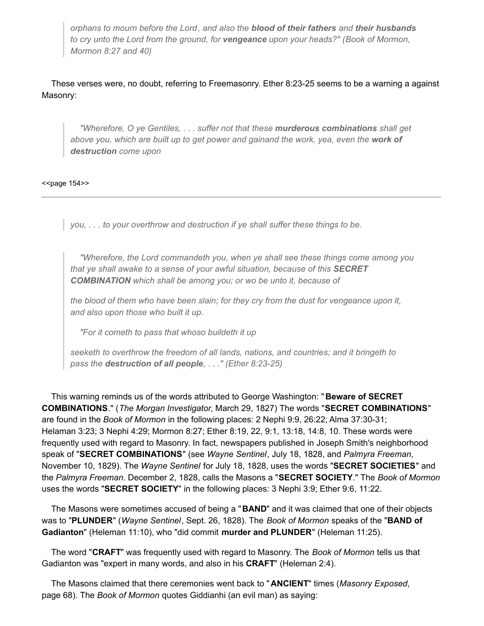*orphans to mourn before the Lord, and also the blood of their fathers and their husbands to cry unto the Lord from the ground, for vengeance upon your heads?" (Book of Mormon, Mormon 8:27 and 40)*

These verses were, no doubt, referring to Freemasonry. Ether 8:23-25 seems to be a warning a against Masonry:

*"Wherefore, O ye Gentiles, . . . suffer not that these murderous combinations shall get above you, which are built up to get power and gainand the work, yea, even the work of destruction come upon*

<<br />page 154>>

*you, . . . to your overthrow and destruction if ye shall suffer these things to be.*

*"Wherefore, the Lord commandeth you, when ye shall see these things come among you that ye shall awake to a sense of your awful situation, because of this SECRET COMBINATION which shall be among you; or wo be unto it, because of*

*the blood of them who have been slain; for they cry from the dust for vengeance upon it, and also upon those who built it up.*

*"For it cometh to pass that whoso buildeth it up*

*seeketh to overthrow the freedom of all lands, nations, and countries; and it bringeth to pass the destruction of all people, . . ." (Ether 8:23-25)*

This warning reminds us of the words attributed to George Washington: " **Beware of SECRET COMBINATIONS**." (*The Morgan Investigator*, March 29, 1827) The words "**SECRET COMBINATIONS**" are found in the *Book of Mormon* in the following places: 2 Nephi 9:9, 26:22; Alma 37:30-31; Helaman 3:23; 3 Nephi 4:29; Mormon 8:27; Ether 8:19, 22, 9:1, 13:18, 14:8, 10. These words were frequently used with regard to Masonry. In fact, newspapers published in Joseph Smith's neighborhood speak of "**SECRET COMBINATIONS**" (see *Wayne Sentinel*, July 18, 1828, and *Palmyra Freeman*, November 10, 1829). The *Wayne Sentinel* for July 18, 1828, uses the words "**SECRET SOCIETIES**" and the *Palmyra Freeman*. December 2, 1828, calls the Masons a "**SECRET SOCIETY**." The *Book of Mormon* uses the words "**SECRET SOCIETY**" in the following places: 3 Nephi 3:9; Ether 9:6, 11:22.

The Masons were sometimes accused of being a "**BAND**" and it was claimed that one of their objects was to "**PLUNDER**" (*Wayne Sentinel*, Sept. 26, 1828). The *Book of Mormon* speaks of the "**BAND of Gadianton**" (Heleman 11:10), who "did commit **murder and PLUNDER**" (Heleman 11:25).

The word "**CRAFT**" was frequently used with regard to Masonry. The *Book of Mormon* tells us that Gadianton was "expert in many words, and also in his **CRAFT**" (Heleman 2:4).

The Masons claimed that there ceremonies went back to " **ANCIENT**" times (*Masonry Exposed*, page 68). The *Book of Mormon* quotes Giddianhi (an evil man) as saying: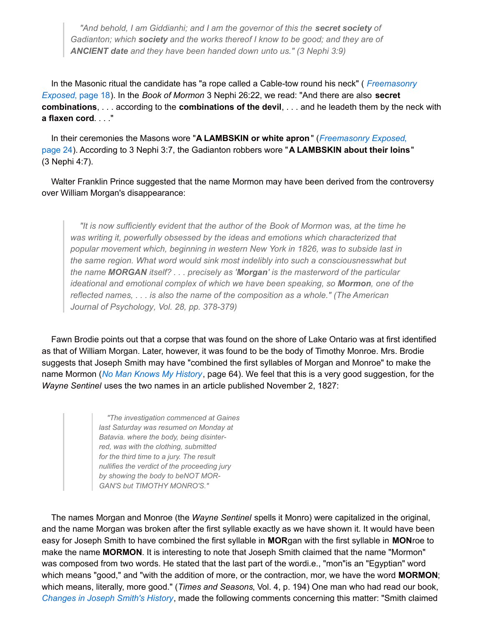*"And behold, I am Giddianhi; and I am the governor of this the secret society of Gadianton; which society and the works thereof I know to be good; and they are of ANCIENT date and they have been handed down unto us." (3 Nephi 3:9)*

In the Masonic ritual the candidate has "a rope called a Cable-tow round his neck" ( *[Freemasonry](http://www.utlm.org/onlinebooks/captmorgansfreemasonry1.htm#18) Exposed*, page 18). In the *Book of Mormon* 3 Nephi 26:22, we read: "And there are also **secret combinations**, . . . according to the **combinations of the devil**, . . . and he leadeth them by the neck with **a flaxen cord**. . . ."

In their ceremonies the Masons wore "**A LAMBSKIN or white apron**" (*[Freemasonry](http://www.utlm.org/onlinebooks/captmorgansfreemasonry2.htm#24) Exposed*, page 24). According to 3 Nephi 3:7, the Gadianton robbers wore "**A LAMBSKIN about their loins**" (3 Nephi 4:7).

Walter Franklin Prince suggested that the name Mormon may have been derived from the controversy over William Morgan's disappearance:

*"It is now sufficiently evident that the author of the Book of Mormon was, at the time he was writing it, powerfully obsessed by the ideas and emotions which characterized that popular movement which, beginning in western New York in 1826, was to subside last in the same region. What word would sink most indelibly into such a consciousnesswhat but the name MORGAN itself? . . . precisely as 'Morgan' is the masterword of the particular ideational and emotional complex of which we have been speaking, so Mormon, one of the reflected names, . . . is also the name of the composition as a whole." (The American Journal of Psychology, Vol. 28, pp. 378-379)*

Fawn Brodie points out that a corpse that was found on the shore of Lake Ontario was at first identified as that of William Morgan. Later, however, it was found to be the body of Timothy Monroe. Mrs. Brodie suggests that Joseph Smith may have "combined the first syllables of Morgan and Monroe" to make the name Mormon (*No Man Knows My [History](http://www.utlm.org/booklist/titles/nomanknowsmyhistorypaperback_xb010.htm)*, page 64). We feel that this is a very good suggestion, for the *Wayne Sentinel* uses the two names in an article published November 2, 1827:

> *"The investigation commenced at Gaines last Saturday was resumed on Monday at Batavia. where the body, being disinterred, was with the clothing, submitted for the third time to a jury. The result nullifies the verdict of the proceeding jury by showing the body to beNOT MOR-GAN'S but TIMOTHY MONRO'S."*

The names Morgan and Monroe (the *Wayne Sentinel* spells it Monro) were capitalized in the original, and the name Morgan was broken after the first syllable exactly as we have shown it. It would have been easy for Joseph Smith to have combined the first syllable in **MOR**gan with the first syllable in **MON**roe to make the name **MORMON**. It is interesting to note that Joseph Smith claimed that the name "Mormon" was composed from two words. He stated that the last part of the wordi.e., "mon"is an "Egyptian" word which means "good," and "with the addition of more, or the contraction, mor, we have the word **MORMON**; which means, literally, more good." (*Times and Seasons*, Vol. 4, p. 194) One man who had read our book, *[Changes](http://www.utlm.org/booklist/titles/changesinjosephsmithshistory_ub035.htm) in Joseph Smith's History*, made the following comments concerning this matter: "Smith claimed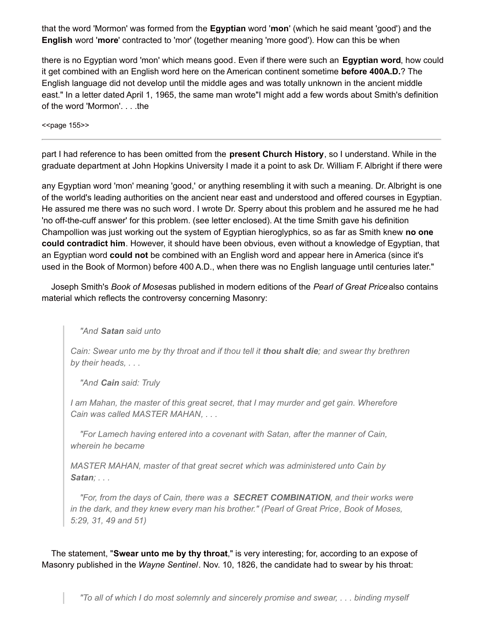that the word 'Mormon' was formed from the **Egyptian** word '**mon**' (which he said meant 'good') and the **English** word '**more**' contracted to 'mor' (together meaning 'more good'). How can this be when

there is no Egyptian word 'mon' which means good. Even if there were such an **Egyptian word**, how could it get combined with an English word here on the American continent sometime **before 400A.D.**? The English language did not develop until the middle ages and was totally unknown in the ancient middle east." In a letter dated April 1, 1965, the same man wrote"I might add a few words about Smith's definition of the word 'Mormon'. . . .the

<<br />page 155>>

part I had reference to has been omitted from the **present Church History**, so I understand. While in the graduate department at John Hopkins University I made it a point to ask Dr. William F. Albright if there were

any Egyptian word 'mon' meaning 'good,' or anything resembling it with such a meaning. Dr. Albright is one of the world's leading authorities on the ancient near east and understood and offered courses in Egyptian. He assured me there was no such word. I wrote Dr. Sperry about this problem and he assured me he had 'no off-the-cuff answer' for this problem. (see letter enclosed). At the time Smith gave his definition Champollion was just working out the system of Egyptian hieroglyphics, so as far as Smith knew **no one could contradict him**. However, it should have been obvious, even without a knowledge of Egyptian, that an Egyptian word **could not** be combined with an English word and appear here in America (since it's used in the Book of Mormon) before 400 A.D., when there was no English language until centuries later."

Joseph Smith's *Book of Moses*as published in modern editions of the *Pearl of Great Price*also contains material which reflects the controversy concerning Masonry:

*"And Satan said unto*

Cain: Swear unto me by thy throat and if thou tell it thou shalt die; and swear thy brethren *by their heads, . . .*

*"And Cain said: Truly*

*I am Mahan, the master of this great secret, that I may murder and get gain. Wherefore Cain was called MASTER MAHAN, . . .*

*"For Lamech having entered into a covenant with Satan, after the manner of Cain, wherein he became*

*MASTER MAHAN, master of that great secret which was administered unto Cain by Satan; . . .*

*"For, from the days of Cain, there was a SECRET COMBINATION, and their works were in the dark, and they knew every man his brother." (Pearl of Great Price, Book of Moses, 5:29, 31, 49 and 51)*

The statement, "**Swear unto me by thy throat**," is very interesting; for, according to an expose of Masonry published in the *Wayne Sentinel*. Nov. 10, 1826, the candidate had to swear by his throat: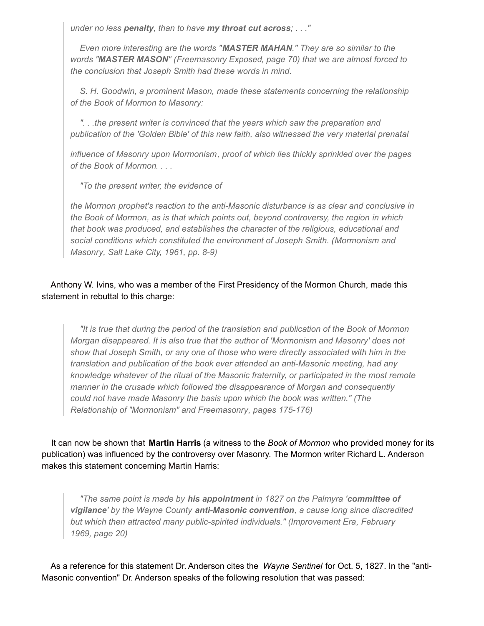*under no less penalty, than to have my throat cut across; . . ."*

*Even more interesting are the words "MASTER MAHAN." They are so similar to the words "MASTER MASON" (Freemasonry Exposed, page 70) that we are almost forced to the conclusion that Joseph Smith had these words in mind.*

*S. H. Goodwin, a prominent Mason, made these statements concerning the relationship of the Book of Mormon to Masonry:*

*". . .the present writer is convinced that the years which saw the preparation and publication of the 'Golden Bible' of this new faith, also witnessed the very material prenatal*

*influence of Masonry upon Mormonism, proof of which lies thickly sprinkled over the pages of the Book of Mormon. . . .*

*"To the present writer, the evidence of*

*the Mormon prophet's reaction to the anti-Masonic disturbance is as clear and conclusive in the Book of Mormon, as is that which points out, beyond controversy, the region in which that book was produced, and establishes the character of the religious, educational and social conditions which constituted the environment of Joseph Smith. (Mormonism and Masonry, Salt Lake City, 1961, pp. 8-9)*

## Anthony W. Ivins, who was a member of the First Presidency of the Mormon Church, made this statement in rebuttal to this charge:

*"It is true that during the period of the translation and publication of the Book of Mormon Morgan disappeared. It is also true that the author of 'Mormonism and Masonry' does not show that Joseph Smith, or any one of those who were directly associated with him in the translation and publication of the book ever attended an anti-Masonic meeting, had any knowledge whatever of the ritual of the Masonic fraternity, or participated in the most remote manner in the crusade which followed the disappearance of Morgan and consequently could not have made Masonry the basis upon which the book was written." (The Relationship of "Mormonism" and Freemasonry, pages 175-176)*

It can now be shown that **Martin Harris** (a witness to the *Book of Mormon* who provided money for its publication) was influenced by the controversy over Masonry. The Mormon writer Richard L. Anderson makes this statement concerning Martin Harris:

*"The same point is made by his appointment in 1827 on the Palmyra 'committee of vigilance' by the Wayne County anti-Masonic convention, a cause long since discredited but which then attracted many public-spirited individuals." (Improvement Era, February 1969, page 20)*

As a reference for this statement Dr. Anderson cites the *Wayne Sentinel* for Oct. 5, 1827. In the "anti-Masonic convention" Dr. Anderson speaks of the following resolution that was passed: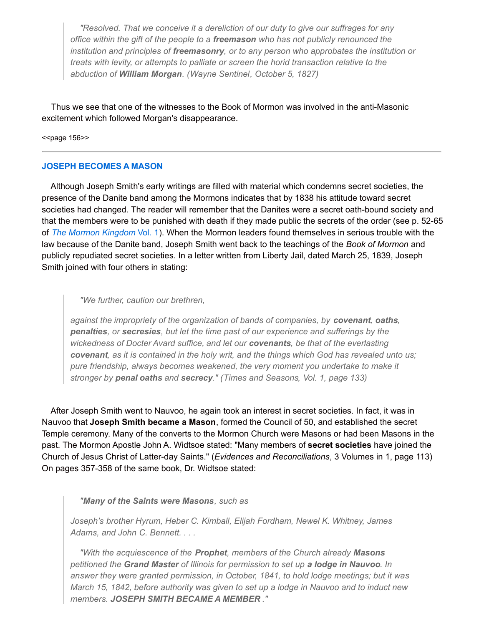*"Resolved. That we conceive it a dereliction of our duty to give our suffrages for any office within the gift of the people to a freemason who has not publicly renounced the institution and principles of freemasonry, or to any person who approbates the institution or treats with levity, or attempts to palliate or screen the horid transaction relative to the abduction of William Morgan. (Wayne Sentinel, October 5, 1827)*

Thus we see that one of the witnesses to the Book of Mormon was involved in the anti-Masonic excitement which followed Morgan's disappearance.

<< page 156>>

#### **JOSEPH BECOMES A MASON**

Although Joseph Smith's early writings are filled with material which condemns secret societies, the presence of the Danite band among the Mormons indicates that by 1838 his attitude toward secret societies had changed. The reader will remember that the Danites were a secret oath-bound society and that the members were to be punished with death if they made public the secrets of the order (see p. 52-65 of *The Mormon [Kingdom](http://www.utlm.org/booklist/titles/mormonkingdomvol1_ub029.htm)* Vol. 1). When the Mormon leaders found themselves in serious trouble with the law because of the Danite band, Joseph Smith went back to the teachings of the *Book of Mormon* and publicly repudiated secret societies. In a letter written from Liberty Jail, dated March 25, 1839, Joseph Smith joined with four others in stating:

#### *"We further, caution our brethren,*

*against the impropriety of the organization of bands of companies, by covenant, oaths, penalties, or secresies, but let the time past of our experience and sufferings by the wickedness of Docter Avard suffice, and let our covenants, be that of the everlasting* covenant, as it is contained in the holy writ, and the things which God has revealed unto us; *pure friendship, always becomes weakened, the very moment you undertake to make it stronger by penal oaths and secrecy." (Times and Seasons, Vol. 1, page 133)*

After Joseph Smith went to Nauvoo, he again took an interest in secret societies. In fact, it was in Nauvoo that **Joseph Smith became a Mason**, formed the Council of 50, and established the secret Temple ceremony. Many of the converts to the Mormon Church were Masons or had been Masons in the past. The Mormon Apostle John A. Widtsoe stated: "Many members of **secret societies** have joined the Church of Jesus Christ of Latter-day Saints." (*Evidences and Reconciliations*, 3 Volumes in 1, page 113) On pages 357-358 of the same book, Dr. Widtsoe stated:

#### *"Many of the Saints were Masons, such as*

*Joseph's brother Hyrum, Heber C. Kimball, Elijah Fordham, Newel K. Whitney, James Adams, and John C. Bennett. . . .*

*"With the acquiescence of the Prophet, members of the Church already Masons petitioned the Grand Master of Illinois for permission to set up a lodge in Nauvoo. In answer they were granted permission, in October, 1841, to hold lodge meetings; but it was March 15, 1842, before authority was given to set up a lodge in Nauvoo and to induct new members. JOSEPH SMITH BECAME A MEMBER ."*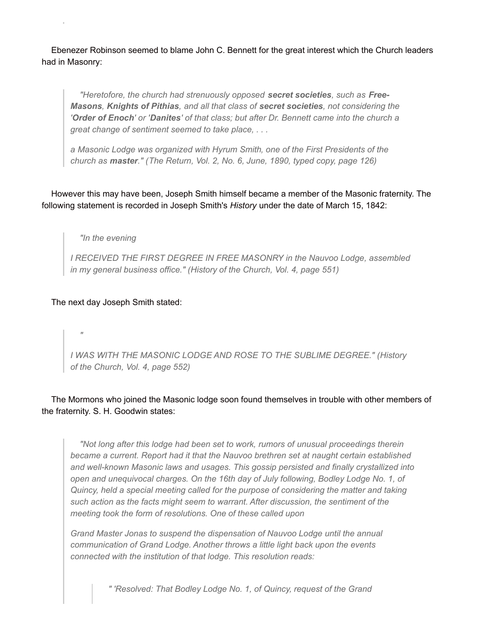Ebenezer Robinson seemed to blame John C. Bennett for the great interest which the Church leaders had in Masonry:

*"Heretofore, the church had strenuously opposed secret societies, such as Free-Masons, Knights of Pithias, and all that class of secret societies, not considering the* 'Order of Enoch' or 'Danites' of that class; but after Dr. Bennett came into the church a *great change of sentiment seemed to take place, . . .*

*a Masonic Lodge was organized with Hyrum Smith, one of the First Presidents of the church as master." (The Return, Vol. 2, No. 6, June, 1890, typed copy, page 126)*

However this may have been, Joseph Smith himself became a member of the Masonic fraternity. The following statement is recorded in Joseph Smith's *History* under the date of March 15, 1842:

*"In the evening*

*I RECEIVED THE FIRST DEGREE IN FREE MASONRY in the Nauvoo Lodge, assembled in my general business office." (History of the Church, Vol. 4, page 551)*

The next day Joseph Smith stated:

*"*

*I WAS WITH THE MASONIC LODGE AND ROSE TO THE SUBLIME DEGREE." (History of the Church, Vol. 4, page 552)*

The Mormons who joined the Masonic lodge soon found themselves in trouble with other members of the fraternity. S. H. Goodwin states:

*"Not long after this lodge had been set to work, rumors of unusual proceedings therein became a current. Report had it that the Nauvoo brethren set at naught certain established and well-known Masonic laws and usages. This gossip persisted and finally crystallized into open and unequivocal charges. On the 16th day of July following, Bodley Lodge No. 1, of Quincy, held a special meeting called for the purpose of considering the matter and taking such action as the facts might seem to warrant. After discussion, the sentiment of the meeting took the form of resolutions. One of these called upon*

*Grand Master Jonas to suspend the dispensation of Nauvoo Lodge until the annual communication of Grand Lodge. Another throws a little light back upon the events connected with the institution of that lodge. This resolution reads:*

*" 'Resolved: That Bodley Lodge No. 1, of Quincy, request of the Grand*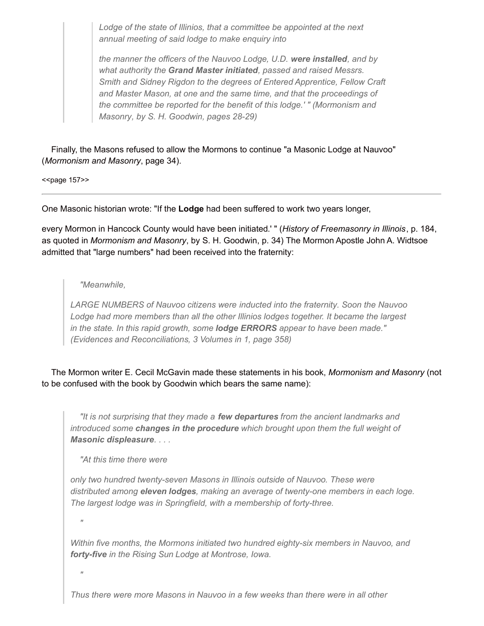*Lodge of the state of Illinios, that a committee be appointed at the next annual meeting of said lodge to make enquiry into*

*the manner the officers of the Nauvoo Lodge, U.D. were installed, and by what authority the Grand Master initiated, passed and raised Messrs. Smith and Sidney Rigdon to the degrees of Entered Apprentice, Fellow Craft and Master Mason, at one and the same time, and that the proceedings of the committee be reported for the benefit of this lodge.' " (Mormonism and Masonry, by S. H. Goodwin, pages 28-29)*

Finally, the Masons refused to allow the Mormons to continue "a Masonic Lodge at Nauvoo" (*Mormonism and Masonry*, page 34).

 $<$ page 157>>

One Masonic historian wrote: "If the **Lodge** had been suffered to work two years longer,

every Mormon in Hancock County would have been initiated.' " (*History of Freemasonry in Illinois*, p. 184, as quoted in *Mormonism and Masonry*, by S. H. Goodwin, p. 34) The Mormon Apostle John A. Widtsoe admitted that "large numbers" had been received into the fraternity:

## *"Meanwhile,*

*LARGE NUMBERS of Nauvoo citizens were inducted into the fraternity. Soon the Nauvoo Lodge had more members than all the other Illinios lodges together. It became the largest in the state. In this rapid growth, some lodge ERRORS appear to have been made." (Evidences and Reconciliations, 3 Volumes in 1, page 358)*

The Mormon writer E. Cecil McGavin made these statements in his book, *Mormonism and Masonry* (not to be confused with the book by Goodwin which bears the same name):

*"It is not surprising that they made a few departures from the ancient landmarks and introduced some changes in the procedure which brought upon them the full weight of Masonic displeasure. . . .*

*"At this time there were*

*only two hundred twenty-seven Masons in Illinois outside of Nauvoo. These were distributed among eleven lodges, making an average of twenty-one members in each loge. The largest lodge was in Springfield, with a membership of forty-three.*

*"*

*Within five months, the Mormons initiated two hundred eighty-six members in Nauvoo, and forty-five in the Rising Sun Lodge at Montrose, Iowa.*

*"*

*Thus there were more Masons in Nauvoo in a few weeks than there were in all other*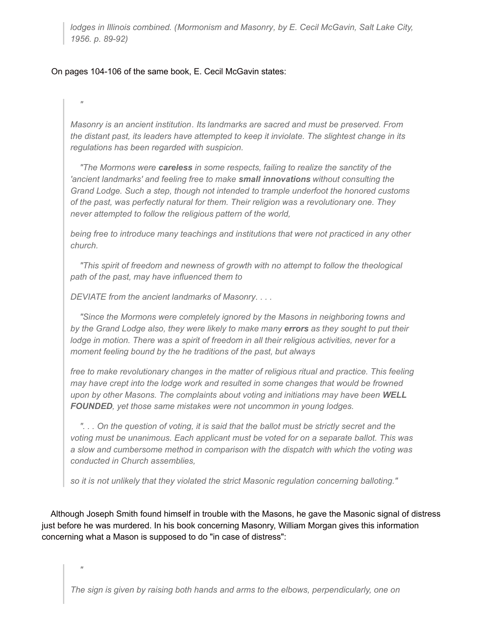*lodges in Illinois combined. (Mormonism and Masonry, by E. Cecil McGavin, Salt Lake City, 1956. p. 89-92)*

## On pages 104-106 of the same book, E. Cecil McGavin states:

*"*

*"*

*Masonry is an ancient institution. Its landmarks are sacred and must be preserved. From the distant past, its leaders have attempted to keep it inviolate. The slightest change in its regulations has been regarded with suspicion.*

*"The Mormons were careless in some respects, failing to realize the sanctity of the 'ancient landmarks' and feeling free to make small innovations without consulting the Grand Lodge. Such a step, though not intended to trample underfoot the honored customs of the past, was perfectly natural for them. Their religion was a revolutionary one. They never attempted to follow the religious pattern of the world,*

*being free to introduce many teachings and institutions that were not practiced in any other church.*

*"This spirit of freedom and newness of growth with no attempt to follow the theological path of the past, may have influenced them to*

*DEVIATE from the ancient landmarks of Masonry. . . .*

*"Since the Mormons were completely ignored by the Masons in neighboring towns and by the Grand Lodge also, they were likely to make many errors as they sought to put their lodge in motion. There was a spirit of freedom in all their religious activities, never for a moment feeling bound by the he traditions of the past, but always*

*free to make revolutionary changes in the matter of religious ritual and practice. This feeling may have crept into the lodge work and resulted in some changes that would be frowned upon by other Masons. The complaints about voting and initiations may have been WELL FOUNDED, yet those same mistakes were not uncommon in young lodges.*

"... On the question of voting, it is said that the ballot must be strictly secret and the *voting must be unanimous. Each applicant must be voted for on a separate ballot. This was a slow and cumbersome method in comparison with the dispatch with which the voting was conducted in Church assemblies,*

*so it is not unlikely that they violated the strict Masonic regulation concerning balloting."*

Although Joseph Smith found himself in trouble with the Masons, he gave the Masonic signal of distress just before he was murdered. In his book concerning Masonry, William Morgan gives this information concerning what a Mason is supposed to do "in case of distress":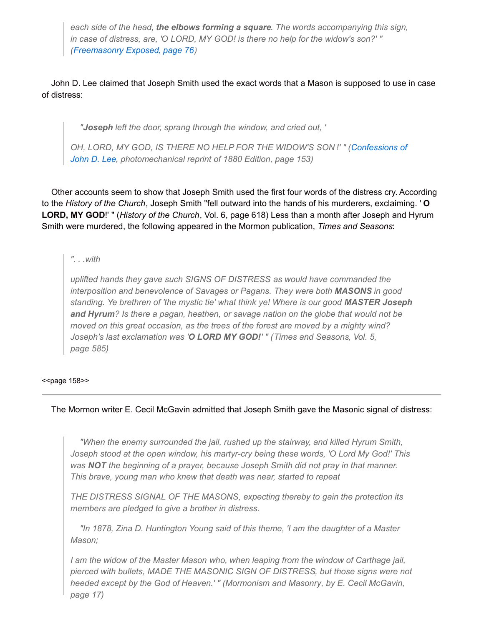*each side of the head, the elbows forming a square. The words accompanying this sign, in case of distress, are, 'O LORD, MY GOD! is there no help for the widow's son?' " ([Freemasonry](http://www.utlm.org/onlinebooks/captmorgansfreemasonry4.htm#76) Exposed, page 76)*

John D. Lee claimed that Joseph Smith used the exact words that a Mason is supposed to use in case of distress:

*"Joseph left the door, sprang through the window, and cried out, '*

*OH, LORD, MY GOD, IS THERE NO HELP FOR THE WIDOW'S SON !' " (Confessions of John D. Lee, [photomechanical](http://www.utlm.org/booklist/titles/confessionsofjohndlee_ub006.htm) reprint of 1880 Edition, page 153)*

Other accounts seem to show that Joseph Smith used the first four words of the distress cry. According to the *History of the Church*, Joseph Smith "fell outward into the hands of his murderers, exclaiming. ' **O LORD, MY GOD**!' " (*History of the Church*, Vol. 6, page 618) Less than a month after Joseph and Hyrum Smith were murdered, the following appeared in the Mormon publication, *Times and Seasons*:

*". . .with*

*uplifted hands they gave such SIGNS OF DISTRESS as would have commanded the interposition and benevolence of Savages or Pagans. They were both MASONS in good standing. Ye brethren of 'the mystic tie' what think ye! Where is our good MASTER Joseph and Hyrum? Is there a pagan, heathen, or savage nation on the globe that would not be moved on this great occasion, as the trees of the forest are moved by a mighty wind? Joseph's last exclamation was 'O LORD MY GOD!' " (Times and Seasons, Vol. 5, page 585)*

<<br />page 158>>

## The Mormon writer E. Cecil McGavin admitted that Joseph Smith gave the Masonic signal of distress:

*"When the enemy surrounded the jail, rushed up the stairway, and killed Hyrum Smith, Joseph stood at the open window, his martyr-cry being these words, 'O Lord My God!' This was NOT the beginning of a prayer, because Joseph Smith did not pray in that manner. This brave, young man who knew that death was near, started to repeat*

*THE DISTRESS SIGNAL OF THE MASONS, expecting thereby to gain the protection its members are pledged to give a brother in distress.*

*"In 1878, Zina D. Huntington Young said of this theme, 'I am the daughter of a Master Mason;*

*I am the widow of the Master Mason who, when leaping from the window of Carthage jail, pierced with bullets, MADE THE MASONIC SIGN OF DISTRESS, but those signs were not heeded except by the God of Heaven.' " (Mormonism and Masonry, by E. Cecil McGavin, page 17)*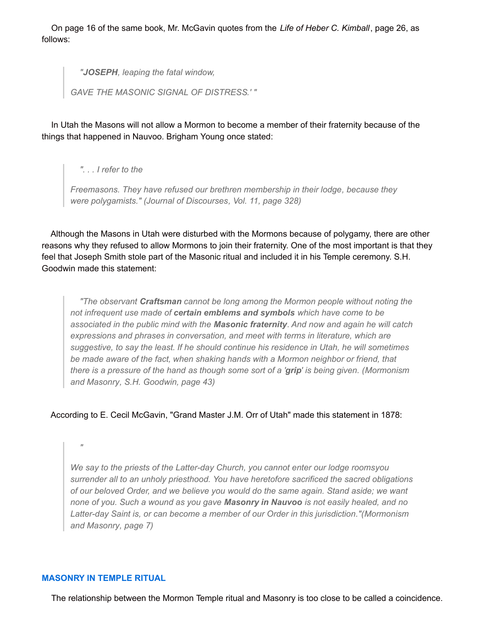On page 16 of the same book, Mr. McGavin quotes from the *Life of Heber C. Kimball*, page 26, as follows:

*"JOSEPH, leaping the fatal window,*

*GAVE THE MASONIC SIGNAL OF DISTRESS.' "*

In Utah the Masons will not allow a Mormon to become a member of their fraternity because of the things that happened in Nauvoo. Brigham Young once stated:

*". . . I refer to the*

*Freemasons. They have refused our brethren membership in their lodge, because they were polygamists." (Journal of Discourses, Vol. 11, page 328)*

Although the Masons in Utah were disturbed with the Mormons because of polygamy, there are other reasons why they refused to allow Mormons to join their fraternity. One of the most important is that they feel that Joseph Smith stole part of the Masonic ritual and included it in his Temple ceremony. S.H. Goodwin made this statement:

*"The observant Craftsman cannot be long among the Mormon people without noting the not infrequent use made of certain emblems and symbols which have come to be associated in the public mind with the Masonic fraternity. And now and again he will catch expressions and phrases in conversation, and meet with terms in literature, which are suggestive, to say the least. If he should continue his residence in Utah, he will sometimes be made aware of the fact, when shaking hands with a Mormon neighbor or friend, that* there is a pressure of the hand as though some sort of a 'grip' is being given. (Mormonism *and Masonry, S.H. Goodwin, page 43)*

## According to E. Cecil McGavin, "Grand Master J.M. Orr of Utah" made this statement in 1878:

*"*

*We say to the priests of the Latter-day Church, you cannot enter our lodge roomsyou surrender all to an unholy priesthood. You have heretofore sacrificed the sacred obligations of our beloved Order, and we believe you would do the same again. Stand aside; we want none of you. Such a wound as you gave Masonry in Nauvoo is not easily healed, and no Latter-day Saint is, or can become a member of our Order in this jurisdiction."(Mormonism and Masonry, page 7)*

## **MASONRY IN TEMPLE RITUAL**

The relationship between the Mormon Temple ritual and Masonry is too close to be called a coincidence.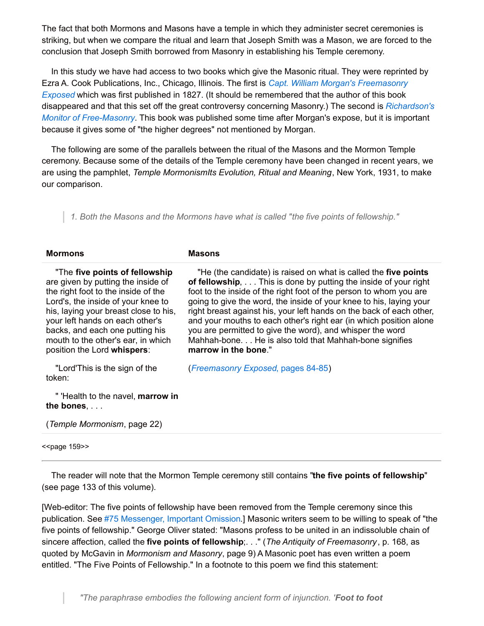The fact that both Mormons and Masons have a temple in which they administer secret ceremonies is striking, but when we compare the ritual and learn that Joseph Smith was a Mason, we are forced to the conclusion that Joseph Smith borrowed from Masonry in establishing his Temple ceremony.

In this study we have had access to two books which give the Masonic ritual. They were reprinted by Ezra A. Cook Publications, Inc., Chicago, Illinois. The first is *Capt. William Morgan's [Freemasonry](http://www.utlm.org/onlinebooks/captmorgansfreemasonrycontents.htm) Exposed* which was first published in 1827. (It should be remembered that the author of this book disappeared and that this set off the great controversy concerning Masonry.) The second is *Richardson's Monitor of [Free-Masonry](http://www.utlm.org/booklist/titles/richardsonsmonitoroffreemasonry_up020.htm)*. This book was published some time after Morgan's expose, but it is important because it gives some of "the higher degrees" not mentioned by Morgan.

The following are some of the parallels between the ritual of the Masons and the Mormon Temple ceremony. Because some of the details of the Temple ceremony have been changed in recent years, we are using the pamphlet, *Temple MormonismIts Evolution, Ritual and Meaning*, New York, 1931, to make our comparison.

*1. Both the Masons and the Mormons have what is called "the five points of fellowship."*

| <b>Mormons</b>                                                                                                                                                                                                                                                                                                                         | <b>Masons</b>                                                                                                                                                                                                                                                                                                                                                                                                                                                                                                                                                                 |
|----------------------------------------------------------------------------------------------------------------------------------------------------------------------------------------------------------------------------------------------------------------------------------------------------------------------------------------|-------------------------------------------------------------------------------------------------------------------------------------------------------------------------------------------------------------------------------------------------------------------------------------------------------------------------------------------------------------------------------------------------------------------------------------------------------------------------------------------------------------------------------------------------------------------------------|
| "The five points of fellowship"<br>are given by putting the inside of<br>the right foot to the inside of the<br>Lord's, the inside of your knee to<br>his, laying your breast close to his,<br>your left hands on each other's<br>backs, and each one putting his<br>mouth to the other's ear, in which<br>position the Lord whispers: | "He (the candidate) is raised on what is called the five points<br>of fellowship, This is done by putting the inside of your right<br>foot to the inside of the right foot of the person to whom you are<br>going to give the word, the inside of your knee to his, laying your<br>right breast against his, your left hands on the back of each other,<br>and your mouths to each other's right ear (in which position alone<br>you are permitted to give the word), and whisper the word<br>Mahhah-bone. He is also told that Mahhah-bone signifies<br>marrow in the bone." |
| "Lord'This is the sign of the<br>token:                                                                                                                                                                                                                                                                                                | (Freemasonry Exposed, pages 84-85)                                                                                                                                                                                                                                                                                                                                                                                                                                                                                                                                            |
| " 'Health to the navel, marrow in<br>the bones, $\ldots$                                                                                                                                                                                                                                                                               |                                                                                                                                                                                                                                                                                                                                                                                                                                                                                                                                                                               |
| (Temple Mormonism, page 22)                                                                                                                                                                                                                                                                                                            |                                                                                                                                                                                                                                                                                                                                                                                                                                                                                                                                                                               |

<<br />page 159>>

The reader will note that the Mormon Temple ceremony still contains "**the five points of fellowship**" (see page 133 of this volume).

[Web-editor: The five points of fellowship have been removed from the Temple ceremony since this publication. See #75 [Messenger,](../newsletters/no75.htm#IMPORTANT OMISSION) Important Omission.] Masonic writers seem to be willing to speak of "the five points of fellowship." George Oliver stated: "Masons profess to be united in an indissoluble chain of sincere affection, called the **five points of fellowship**;. . ." (*The Antiquity of Freemasonry*, p. 168, as quoted by McGavin in *Mormonism and Masonry*, page 9) A Masonic poet has even written a poem entitled. "The Five Points of Fellowship." In a footnote to this poem we find this statement:

*"The paraphrase embodies the following ancient form of injunction. 'Foot to foot*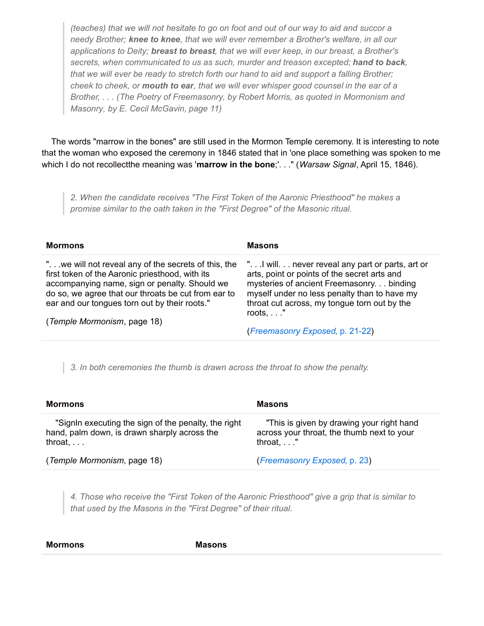(teaches) that we will not hesitate to go on foot and out of our way to aid and succor a *needy Brother; knee to knee, that we will ever remember a Brother's welfare, in all our applications to Deity; breast to breast, that we will ever keep, in our breast, a Brother's secrets, when communicated to us as such, murder and treason excepted; hand to back, that we will ever be ready to stretch forth our hand to aid and support a falling Brother;* cheek to cheek, or mouth to ear, that we will ever whisper good counsel in the ear of a *Brother, . . . (The Poetry of Freemasonry, by Robert Morris, as quoted in Mormonism and Masonry, by E. Cecil McGavin, page 11)*

The words "marrow in the bones" are still used in the Mormon Temple ceremony. It is interesting to note that the woman who exposed the ceremony in 1846 stated that in 'one place something was spoken to me which I do not recollectthe meaning was '**marrow in the bone**;'. . ." (*Warsaw Signal*, April 15, 1846).

*2. When the candidate receives "The First Token of the Aaronic Priesthood" he makes a promise similar to the oath taken in the "First Degree" of the Masonic ritual.*

| <b>Mormons</b>                                                                                                                                                                                                                                                   | <b>Masons</b>                                                                                                                                                                                                                                                      |
|------------------------------------------------------------------------------------------------------------------------------------------------------------------------------------------------------------------------------------------------------------------|--------------------------------------------------------------------------------------------------------------------------------------------------------------------------------------------------------------------------------------------------------------------|
| " we will not reveal any of the secrets of this, the<br>first token of the Aaronic priesthood, with its<br>accompanying name, sign or penalty. Should we<br>do so, we agree that our throats be cut from ear to<br>ear and our tongues torn out by their roots." | " I will never reveal any part or parts, art or<br>arts, point or points of the secret arts and<br>mysteries of ancient Freemasonry. binding<br>myself under no less penalty than to have my<br>throat cut across, my tongue torn out by the<br>roots, $\ldots$ ." |
| (Temple Mormonism, page 18)                                                                                                                                                                                                                                      | (Freemasonry Exposed, p. 21-22)                                                                                                                                                                                                                                    |
|                                                                                                                                                                                                                                                                  |                                                                                                                                                                                                                                                                    |

*3. In both ceremonies the thumb is drawn across the throat to show the penalty.*

| Mormons                                                                                                                  | <b>Masons</b>                                                                                                  |
|--------------------------------------------------------------------------------------------------------------------------|----------------------------------------------------------------------------------------------------------------|
| "Signin executing the sign of the penalty, the right<br>hand, palm down, is drawn sharply across the<br>throat, $\ldots$ | "This is given by drawing your right hand<br>across your throat, the thumb next to your<br>throat, $\ldots$ ." |
| (Temple Mormonism, page 18)                                                                                              | (Freemasonry Exposed, p. 23)                                                                                   |

*4. Those who receive the "First Token of the Aaronic Priesthood" give a grip that is similar to that used by the Masons in the "First Degree" of their ritual.*

**Mormons Masons**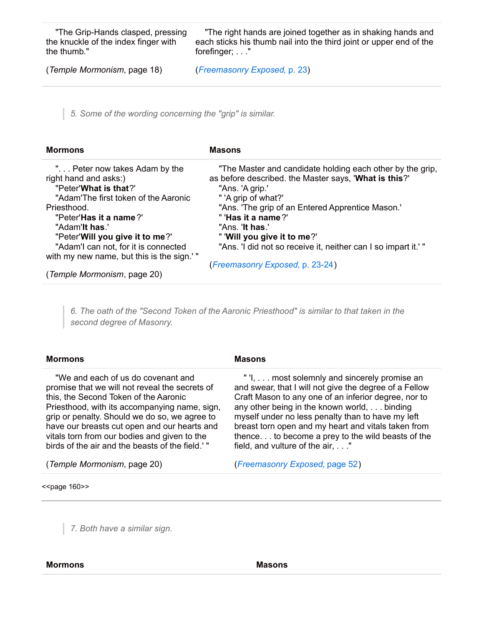"The Grip-Hands clasped, pressing the knuckle of the index finger with the thumb."

"The right hands are joined together as in shaking hands and each sticks his thumb nail into the third joint or upper end of the forefinger; . . ."

(*Temple Mormonism*, page 18)

(*[Freemasonry](http://www.utlm.org/onlinebooks/captmorgansfreemasonry2.htm#23) Exposed*, p. 23)

*5. Some of the wording concerning the "grip" is similar.*

| <b>Mormons</b>                                                                   | <b>Masons</b>                                                                                                                         |
|----------------------------------------------------------------------------------|---------------------------------------------------------------------------------------------------------------------------------------|
| " Peter now takes Adam by the<br>right hand and asks:)<br>"Peter' What is that?" | "The Master and candidate holding each other by the grip,<br>as before described. the Master says, 'What is this?'<br>"Ans. 'A grip.' |
| "Adam'The first token of the Aaronic                                             | " 'A grip of what?'                                                                                                                   |
| Priesthood.                                                                      | "Ans. 'The grip of an Entered Apprentice Mason.'                                                                                      |
| "Peter' <b>Has it a name</b> ?"                                                  | " 'Has it a name?'                                                                                                                    |
| "Adam'lt has."                                                                   | "Ans. <b>'It has.'</b>                                                                                                                |
| "Peter' Will you give it to me?"                                                 | " 'Will you give it to me?'                                                                                                           |
| "Adam'l can not, for it is connected                                             | "Ans. 'I did not so receive it, neither can I so impart it.' "                                                                        |
| with my new name, but this is the sign.'"                                        |                                                                                                                                       |
|                                                                                  | (Freemasonry Exposed, p. 23-24)                                                                                                       |
| (Temple Mormonism, page 20)                                                      |                                                                                                                                       |

*6. The oath of the "Second Token of the Aaronic Priesthood" is similar to that taken in the second degree of Masonry.*

| <b>Mormons</b>                                                                                                                                                                                                                                                                                                                                                                     | <b>Masons</b>                                                                                                                                                                                                                                                                                                                                                                                                   |
|------------------------------------------------------------------------------------------------------------------------------------------------------------------------------------------------------------------------------------------------------------------------------------------------------------------------------------------------------------------------------------|-----------------------------------------------------------------------------------------------------------------------------------------------------------------------------------------------------------------------------------------------------------------------------------------------------------------------------------------------------------------------------------------------------------------|
| "We and each of us do covenant and<br>promise that we will not reveal the secrets of<br>this, the Second Token of the Aaronic<br>Priesthood, with its accompanying name, sign,<br>grip or penalty. Should we do so, we agree to<br>have our breasts cut open and our hearts and<br>vitals torn from our bodies and given to the<br>birds of the air and the beasts of the field.'" | "I, most solemnly and sincerely promise an<br>and swear, that I will not give the degree of a Fellow<br>Craft Mason to any one of an inferior degree, nor to<br>any other being in the known world, binding<br>myself under no less penalty than to have my left<br>breast torn open and my heart and vitals taken from<br>thence to become a prey to the wild beasts of the<br>field, and vulture of the air," |
| (Temple Mormonism, page 20)                                                                                                                                                                                                                                                                                                                                                        | (Freemasonry Exposed, page 52)                                                                                                                                                                                                                                                                                                                                                                                  |
| < <page 160="">&gt;</page>                                                                                                                                                                                                                                                                                                                                                         |                                                                                                                                                                                                                                                                                                                                                                                                                 |

*7. Both have a similar sign.*

#### **Mormons Masons**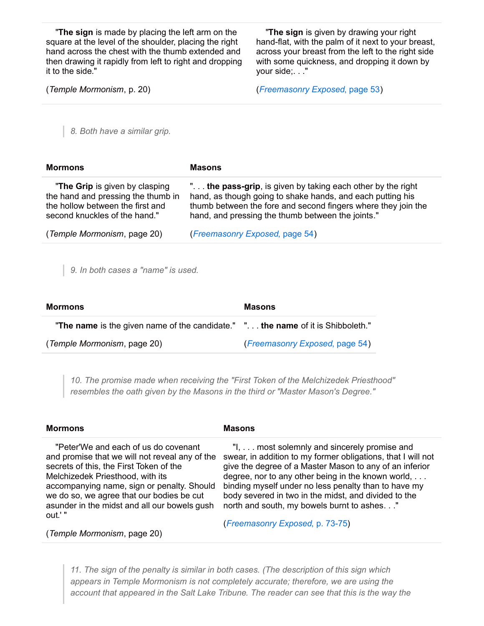"**The sign** is made by placing the left arm on the square at the level of the shoulder, placing the right hand across the chest with the thumb extended and then drawing it rapidly from left to right and dropping it to the side."

"**The sign** is given by drawing your right hand-flat, with the palm of it next to your breast, across your breast from the left to the right side with some quickness, and dropping it down by your side;. . ."

(*Temple Mormonism*, p. 20)

(*[Freemasonry](http://www.utlm.org/onlinebooks/captmorgansfreemasonry3.htm#53) Exposed*, page 53)

*8. Both have a similar grip.*

| <b>Mormons</b>                                                                                                                            | <b>Masons</b>                                                                                                                                                                                                                                   |
|-------------------------------------------------------------------------------------------------------------------------------------------|-------------------------------------------------------------------------------------------------------------------------------------------------------------------------------------------------------------------------------------------------|
| "The Grip is given by clasping<br>the hand and pressing the thumb in<br>the hollow between the first and<br>second knuckles of the hand." | " the pass-grip, is given by taking each other by the right<br>hand, as though going to shake hands, and each putting his<br>thumb between the fore and second fingers where they join the<br>hand, and pressing the thumb between the joints." |
| (Temple Mormonism, page 20)                                                                                                               | (Freemasonry Exposed, page 54)                                                                                                                                                                                                                  |

*9. In both cases a "name" is used.*

| Mormons                                                                          | <b>Masons</b>                  |  |
|----------------------------------------------------------------------------------|--------------------------------|--|
| "The name is the given name of the candidate." ". the name of it is Shibboleth." |                                |  |
| (Temple Mormonism, page 20)                                                      | (Freemasonry Exposed, page 54) |  |

*10. The promise made when receiving the "First Token of the Melchizedek Priesthood" resembles the oath given by the Masons in the third or "Master Mason's Degree."*

| <b>Mormons</b>                                                                                                                                                                                                                                                                                                                                             | <b>Masons</b>                                                                                                                                                                                                                                                                                                                                                                                                                  |
|------------------------------------------------------------------------------------------------------------------------------------------------------------------------------------------------------------------------------------------------------------------------------------------------------------------------------------------------------------|--------------------------------------------------------------------------------------------------------------------------------------------------------------------------------------------------------------------------------------------------------------------------------------------------------------------------------------------------------------------------------------------------------------------------------|
| "Peter'We and each of us do covenant<br>and promise that we will not reveal any of the<br>secrets of this, the First Token of the<br>Melchizedek Priesthood, with its<br>accompanying name, sign or penalty. Should<br>we do so, we agree that our bodies be cut<br>asunder in the midst and all our bowels gush<br>out.' "<br>(Temple Mormonism, page 20) | "I, most solemnly and sincerely promise and<br>swear, in addition to my former obligations, that I will not<br>give the degree of a Master Mason to any of an inferior<br>degree, nor to any other being in the known world,<br>binding myself under no less penalty than to have my<br>body severed in two in the midst, and divided to the<br>north and south, my bowels burnt to ashes."<br>(Freemasonry Exposed, p. 73-75) |
|                                                                                                                                                                                                                                                                                                                                                            |                                                                                                                                                                                                                                                                                                                                                                                                                                |

*11. The sign of the penalty is similar in both cases. (The description of this sign which appears in Temple Mormonism is not completely accurate; therefore, we are using the account that appeared in the Salt Lake Tribune. The reader can see that this is the way the*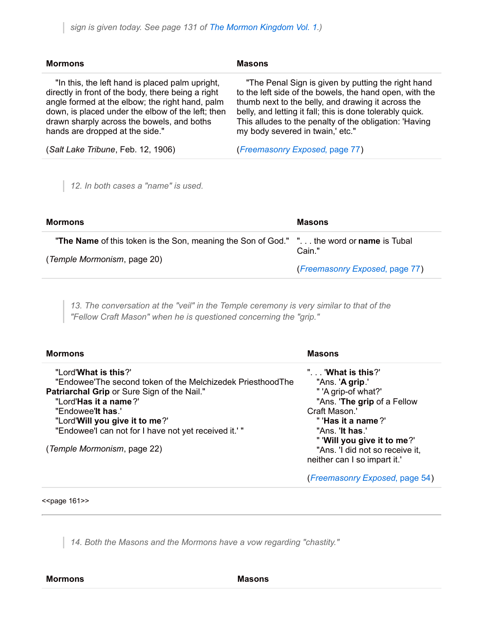| <b>Mormons</b>                                                                                                                                                                                                                                                                                 | <b>Masons</b>                                                                                                                                                                                                                                                                                                                  |
|------------------------------------------------------------------------------------------------------------------------------------------------------------------------------------------------------------------------------------------------------------------------------------------------|--------------------------------------------------------------------------------------------------------------------------------------------------------------------------------------------------------------------------------------------------------------------------------------------------------------------------------|
| "In this, the left hand is placed palm upright,<br>directly in front of the body, there being a right<br>angle formed at the elbow; the right hand, palm<br>down, is placed under the elbow of the left; then<br>drawn sharply across the bowels, and boths<br>hands are dropped at the side." | "The Penal Sign is given by putting the right hand<br>to the left side of the bowels, the hand open, with the<br>thumb next to the belly, and drawing it across the<br>belly, and letting it fall; this is done tolerably quick.<br>This alludes to the penalty of the obligation: 'Having<br>my body severed in twain,' etc." |
| (Salt Lake Tribune, Feb. 12, 1906)                                                                                                                                                                                                                                                             | (Freemasonry Exposed, page 77)                                                                                                                                                                                                                                                                                                 |

*12. In both cases a "name" is used.*

| <b>Mormons</b>                                                                                                                        | <b>Masons</b>                  |
|---------------------------------------------------------------------------------------------------------------------------------------|--------------------------------|
| <b>"The Name</b> of this token is the Son, meaning the Son of God." " the word or <b>name</b> is Tubal<br>(Temple Mormonism, page 20) | Cain."                         |
|                                                                                                                                       | (Freemasonry Exposed, page 77) |

*13. The conversation at the "veil" in the Temple ceremony is very similar to that of the "Fellow Craft Mason" when he is questioned concerning the "grip."*

| <b>Mormons</b>                                             | <b>Masons</b>                   |
|------------------------------------------------------------|---------------------------------|
| "Lord'What is this?"                                       | ". 'What is this?'              |
| "Endowee'The second token of the Melchizedek PriesthoodThe | "Ans. ' <b>A grip</b> .'        |
| <b>Patriarchal Grip or Sure Sign of the Nail."</b>         | " 'A grip-of what?'             |
| "Lord'Has it a name?'                                      | "Ans. 'The grip of a Fellow     |
| "Endowee' <b>It has</b> .'                                 | Craft Mason.'                   |
| "Lord'Will you give it to me?"                             | " 'Has it a name?'              |
| "Endowee'l can not for I have not yet received it.'"       | "Ans. <b>'It has.'</b>          |
|                                                            | " 'Will you give it to me?'     |
| (Temple Mormonism, page 22)                                | "Ans. 'I did not so receive it, |
|                                                            | neither can I so impart it.'    |
|                                                            | (Freemasonry Exposed, page 54)  |

#### $<$ page 161 $>$

*14. Both the Masons and the Mormons have a vow regarding "chastity."*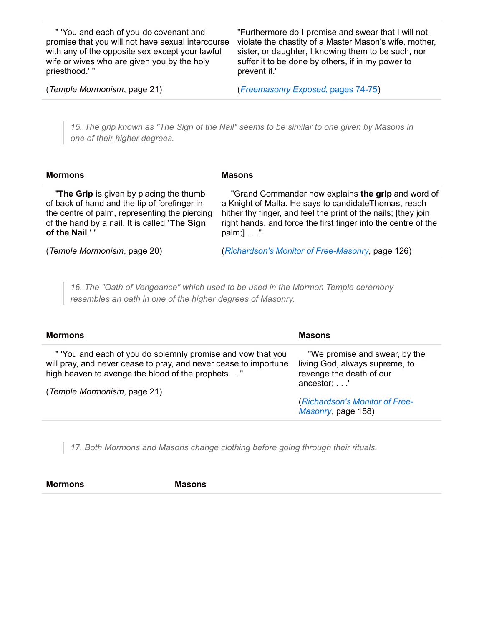" 'You and each of you do covenant and promise that you will not have sexual intercourse with any of the opposite sex except your lawful wife or wives who are given you by the holy priesthood.' "

"Furthermore do I promise and swear that I will not violate the chastity of a Master Mason's wife, mother, sister, or daughter, I knowing them to be such, nor suffer it to be done by others, if in my power to prevent it."

(*Temple Mormonism*, page 21)

(*[Freemasonry](http://www.utlm.org/onlinebooks/captmorgansfreemasonry4.htm#74) Exposed*, pages 74-75)

15. The grip known as "The Sign of the Nail" seems to be similar to one given by Masons in *one of their higher degrees.*

| <b>Mormons</b>                                                                                                                                                                                              | <b>Masons</b>                                                                                                                                                                                                                                                        |
|-------------------------------------------------------------------------------------------------------------------------------------------------------------------------------------------------------------|----------------------------------------------------------------------------------------------------------------------------------------------------------------------------------------------------------------------------------------------------------------------|
| "The Grip is given by placing the thumb<br>of back of hand and the tip of forefinger in<br>the centre of palm, representing the piercing<br>of the hand by a nail. It is called 'The Sign<br>of the Nail.'" | "Grand Commander now explains the grip and word of<br>a Knight of Malta. He says to candidate Thomas, reach<br>hither thy finger, and feel the print of the nails; [they join<br>right hands, and force the first finger into the centre of the<br>$palm;]\ldots$ ." |
| (Temple Mormonism, page 20)                                                                                                                                                                                 | (Richardson's Monitor of Free-Masonry, page 126)                                                                                                                                                                                                                     |

*16. The "Oath of Vengeance" which used to be used in the Mormon Temple ceremony resembles an oath in one of the higher degrees of Masonry.*

| <b>Mormons</b>                                                                                                                                                                                                      | Masons                                                                                                       |
|---------------------------------------------------------------------------------------------------------------------------------------------------------------------------------------------------------------------|--------------------------------------------------------------------------------------------------------------|
| " 'You and each of you do solemnly promise and vow that you<br>will pray, and never cease to pray, and never cease to importune<br>high heaven to avenge the blood of the prophets."<br>(Temple Mormonism, page 21) | "We promise and swear, by the<br>living God, always supreme, to<br>revenge the death of our<br>$ancestor$ ;" |
|                                                                                                                                                                                                                     | (Richardson's Monitor of Free-<br>Masonry, page 188)                                                         |

*17. Both Mormons and Masons change clothing before going through their rituals.*

**Mormons Masons**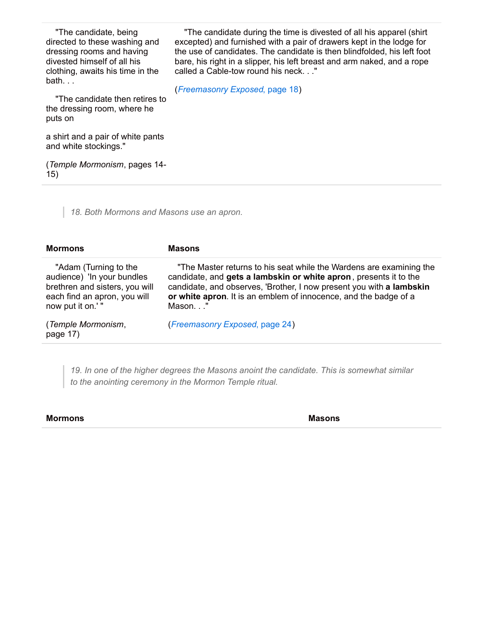"The candidate, being directed to these washing and dressing rooms and having divested himself of all his clothing, awaits his time in the bath. . .

"The candidate then retires to the dressing room, where he puts on

a shirt and a pair of white pants and white stockings."

(*Temple Mormonism*, pages 14- 15)

*18. Both Mormons and Masons use an apron.*

| <b>Masons</b>                                                                                                                                                                                                                                                                                  |
|------------------------------------------------------------------------------------------------------------------------------------------------------------------------------------------------------------------------------------------------------------------------------------------------|
| "The Master returns to his seat while the Wardens are examining the<br>candidate, and gets a lambskin or white apron, presents it to the<br>candidate, and observes, 'Brother, I now present you with a lambskin<br>or white apron. It is an emblem of innocence, and the badge of a<br>Mason" |
| (Freemasonry Exposed, page 24)                                                                                                                                                                                                                                                                 |
|                                                                                                                                                                                                                                                                                                |

*19. In one of the higher degrees the Masons anoint the candidate. This is somewhat similar to the anointing ceremony in the Mormon Temple ritual.*

#### **Mormons Masons**

"The candidate during the time is divested of all his apparel (shirt excepted) and furnished with a pair of drawers kept in the lodge for the use of candidates. The candidate is then blindfolded, his left foot bare, his right in a slipper, his left breast and arm naked, and a rope called a Cable-tow round his neck. . ."

(*[Freemasonry](http://www.utlm.org/onlinebooks/captmorgansfreemasonry1.htm#18) Exposed*, page 18)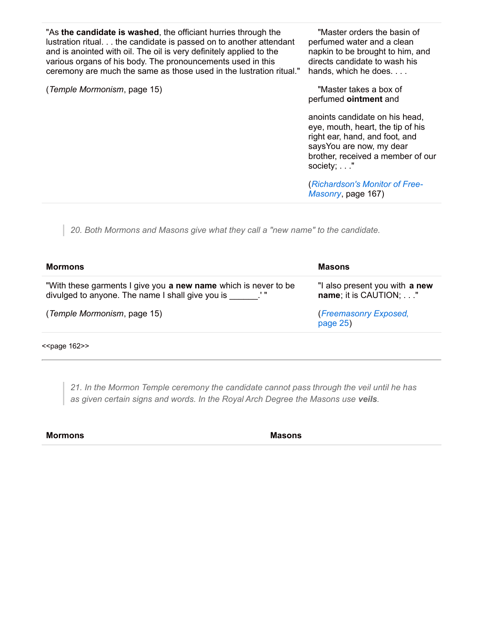"As **the candidate is washed**, the officiant hurries through the lustration ritual. . . the candidate is passed on to another attendant and is anointed with oil. The oil is very definitely applied to the various organs of his body. The pronouncements used in this ceremony are much the same as those used in the lustration ritual."

(*Temple Mormonism*, page 15)

"Master orders the basin of perfumed water and a clean napkin to be brought to him, and directs candidate to wash his hands, which he does. . . .

"Master takes a box of perfumed **ointment** and

anoints candidate on his head, eye, mouth, heart, the tip of his right ear, hand, and foot, and saysYou are now, my dear brother, received a member of our society; . . ."

(*[Richardson's](http://www.utlm.org/booklist/titles/richardsonsmonitoroffreemasonry_up020.htm) Monitor of Free-Masonry*, page 167)

*20. Both Mormons and Masons give what they call a "new name" to the candidate.*

| Mormons                                                                                                                      | Masons                                                  |
|------------------------------------------------------------------------------------------------------------------------------|---------------------------------------------------------|
| "With these garments I give you <b>a new name</b> which is never to be<br>divulged to anyone. The name I shall give you is " | "I also present you with a new<br>name; it is CAUTION;" |
| (Temple Mormonism, page 15)                                                                                                  | (Freemasonry Exposed,<br>page $25)$                     |
|                                                                                                                              |                                                         |

<<page 162>>

*21. In the Mormon Temple ceremony the candidate cannot pass through the veil until he has as given certain signs and words. In the Royal Arch Degree the Masons use veils.*

**Mormons Masons**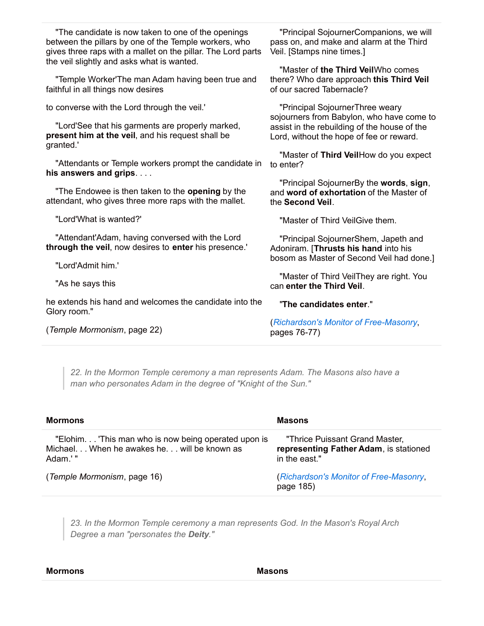| "Principal SojournerCompanions, we will<br>pass on, and make and alarm at the Third<br>Veil. [Stamps nine times.]                     |  |
|---------------------------------------------------------------------------------------------------------------------------------------|--|
| "Master of the Third VeilWho comes<br>there? Who dare approach this Third Veil<br>of our sacred Tabernacle?                           |  |
| "Principal SojournerThree weary                                                                                                       |  |
| sojourners from Babylon, who have come to<br>assist in the rebuilding of the house of the<br>Lord, without the hope of fee or reward. |  |
| "Master of Third VeilHow do you expect<br>to enter?                                                                                   |  |
| "Principal SojournerBy the words, sign,<br>and word of exhortation of the Master of<br>the Second Veil.                               |  |
| "Master of Third VeilGive them.                                                                                                       |  |
| "Principal SojournerShem, Japeth and<br>Adoniram. [Thrusts his hand into his                                                          |  |
| bosom as Master of Second Veil had done.]                                                                                             |  |
| "Master of Third VeilThey are right. You<br>can enter the Third Veil.                                                                 |  |
| "The candidates enter."                                                                                                               |  |
| (Richardson's Monitor of Free-Masonry,<br>pages 76-77)                                                                                |  |
|                                                                                                                                       |  |

*22. In the Mormon Temple ceremony a man represents Adam. The Masons also have a man who personates Adam in the degree of "Knight of the Sun."*

| <b>Mormons</b>                                                                                                | <b>Masons</b>                                                                             |  |
|---------------------------------------------------------------------------------------------------------------|-------------------------------------------------------------------------------------------|--|
| "Elohim This man who is now being operated upon is<br>Michael. When he awakes he. will be known as<br>Adam.'" | "Thrice Puissant Grand Master,<br>representing Father Adam, is stationed<br>in the east." |  |
| (Temple Mormonism, page 16)                                                                                   | (Richardson's Monitor of Free-Masonry,<br>page 185)                                       |  |

*23. In the Mormon Temple ceremony a man represents God. In the Mason's Royal Arch Degree a man "personates the Deity."*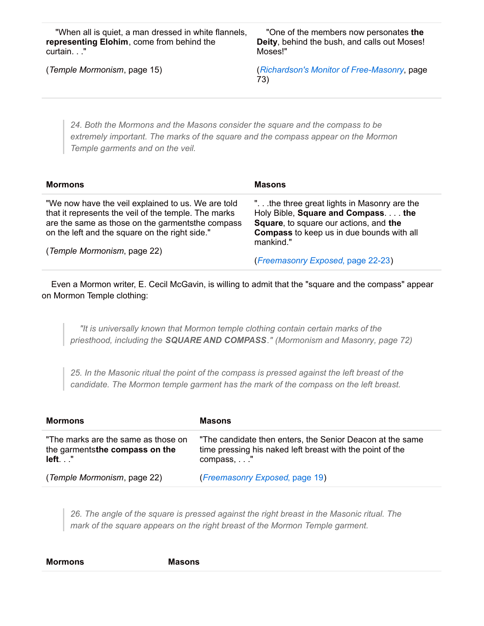"When all is quiet, a man dressed in white flannels, **representing Elohim**, come from behind the curtain. . ."

"One of the members now personates **the Deity**, behind the bush, and calls out Moses! Moses!"

(*Temple Mormonism*, page 15)

(*Richardson's Monitor of [Free-Masonry](http://www.utlm.org/booklist/titles/richardsonsmonitoroffreemasonry_up020.htm)*, page 73)

*24. Both the Mormons and the Masons consider the square and the compass to be extremely important. The marks of the square and the compass appear on the Mormon Temple garments and on the veil.*

| <b>Mormons</b>                                                                                                                                                                                                    | <b>Masons</b>                                                                                                                                                                                        |
|-------------------------------------------------------------------------------------------------------------------------------------------------------------------------------------------------------------------|------------------------------------------------------------------------------------------------------------------------------------------------------------------------------------------------------|
| "We now have the veil explained to us. We are told<br>that it represents the veil of the temple. The marks<br>are the same as those on the garments the compass<br>on the left and the square on the right side." | ". the three great lights in Masonry are the<br>Holy Bible, Square and Compass the<br><b>Square, to square our actions, and the</b><br><b>Compass</b> to keep us in due bounds with all<br>mankind." |
| (Temple Mormonism, page 22)                                                                                                                                                                                       | (Freemasonry Exposed, page 22-23)                                                                                                                                                                    |

Even a Mormon writer, E. Cecil McGavin, is willing to admit that the "square and the compass" appear on Mormon Temple clothing:

*"It is universally known that Mormon temple clothing contain certain marks of the priesthood, including the SQUARE AND COMPASS." (Mormonism and Masonry, page 72)*

*25. In the Masonic ritual the point of the compass is pressed against the left breast of the candidate. The Mormon temple garment has the mark of the compass on the left breast.*

| Mormons                                                                          | Masons                                                                                                                              |
|----------------------------------------------------------------------------------|-------------------------------------------------------------------------------------------------------------------------------------|
| "The marks are the same as those on<br>the garments the compass on the<br>left." | "The candidate then enters, the Senior Deacon at the same<br>time pressing his naked left breast with the point of the<br>compass," |
| (Temple Mormonism, page 22)                                                      | (Freemasonry Exposed, page 19)                                                                                                      |

*26. The angle of the square is pressed against the right breast in the Masonic ritual. The mark of the square appears on the right breast of the Mormon Temple garment.*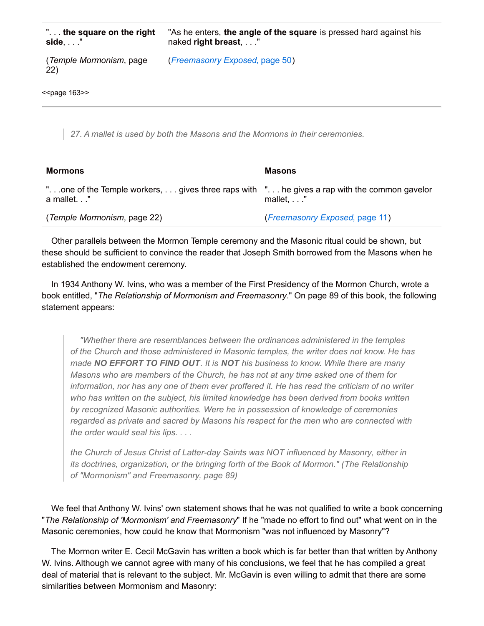| $\mathsf{L}$ the square on the right<br>$side, \ldots$ " | "As he enters, the angle of the square is pressed hard against his<br>naked right breast, " |
|----------------------------------------------------------|---------------------------------------------------------------------------------------------|
| (Temple Mormonism, page<br>22)                           | (Freemasonry Exposed, page 50)                                                              |
| < <page 163="">&gt;</page>                               |                                                                                             |

*27. A mallet is used by both the Masons and the Mormons in their ceremonies.*

| <b>Mormons</b>                                                                                           | <b>Masons</b>                  |
|----------------------------------------------------------------------------------------------------------|--------------------------------|
| "one of the Temple workers,  gives three raps with " he gives a rap with the common gavelor<br>a mallet" | $mallet, \ldots$ ."            |
| (Temple Mormonism, page 22)                                                                              | (Freemasonry Exposed, page 11) |

Other parallels between the Mormon Temple ceremony and the Masonic ritual could be shown, but these should be sufficient to convince the reader that Joseph Smith borrowed from the Masons when he established the endowment ceremony.

In 1934 Anthony W. Ivins, who was a member of the First Presidency of the Mormon Church, wrote a book entitled, "*The Relationship of Mormonism and Freemasonry*." On page 89 of this book, the following statement appears:

*"Whether there are resemblances between the ordinances administered in the temples of the Church and those administered in Masonic temples, the writer does not know. He has made NO EFFORT TO FIND OUT. It is NOT his business to know. While there are many Masons who are members of the Church, he has not at any time asked one of them for information, nor has any one of them ever proffered it. He has read the criticism of no writer who has written on the subject, his limited knowledge has been derived from books written by recognized Masonic authorities. Were he in possession of knowledge of ceremonies regarded as private and sacred by Masons his respect for the men who are connected with the order would seal his lips. . . .*

*the Church of Jesus Christ of Latter-day Saints was NOT influenced by Masonry, either in its doctrines, organization, or the bringing forth of the Book of Mormon." (The Relationship of "Mormonism" and Freemasonry, page 89)*

We feel that Anthony W. Ivins' own statement shows that he was not qualified to write a book concerning "*The Relationship of 'Mormonism' and Freemasonry*" If he "made no effort to find out" what went on in the Masonic ceremonies, how could he know that Mormonism "was not influenced by Masonry"?

The Mormon writer E. Cecil McGavin has written a book which is far better than that written by Anthony W. Ivins. Although we cannot agree with many of his conclusions, we feel that he has compiled a great deal of material that is relevant to the subject. Mr. McGavin is even willing to admit that there are some similarities between Mormonism and Masonry: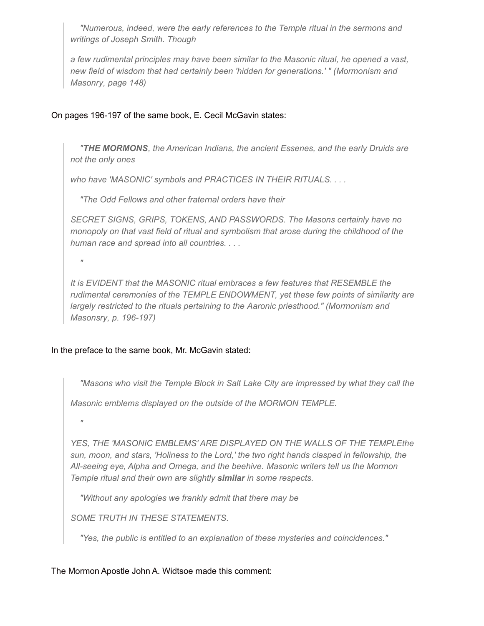*"Numerous, indeed, were the early references to the Temple ritual in the sermons and writings of Joseph Smith. Though*

*a few rudimental principles may have been similar to the Masonic ritual, he opened a vast, new field of wisdom that had certainly been 'hidden for generations.' " (Mormonism and Masonry, page 148)*

## On pages 196-197 of the same book, E. Cecil McGavin states:

*"THE MORMONS, the American Indians, the ancient Essenes, and the early Druids are not the only ones*

*who have 'MASONIC' symbols and PRACTICES IN THEIR RITUALS. . . .*

*"The Odd Fellows and other fraternal orders have their*

*SECRET SIGNS, GRIPS, TOKENS, AND PASSWORDS. The Masons certainly have no monopoly on that vast field of ritual and symbolism that arose during the childhood of the human race and spread into all countries. . . .*

*"*

*It is EVIDENT that the MASONIC ritual embraces a few features that RESEMBLE the rudimental ceremonies of the TEMPLE ENDOWMENT, yet these few points of similarity are largely restricted to the rituals pertaining to the Aaronic priesthood." (Mormonism and Masonsry, p. 196-197)*

## In the preface to the same book, Mr. McGavin stated:

*"Masons who visit the Temple Block in Salt Lake City are impressed by what they call the*

*Masonic emblems displayed on the outside of the MORMON TEMPLE.*

*"*

*YES, THE 'MASONIC EMBLEMS' ARE DISPLAYED ON THE WALLS OF THE TEMPLEthe sun, moon, and stars, 'Holiness to the Lord,' the two right hands clasped in fellowship, the All-seeing eye, Alpha and Omega, and the beehive. Masonic writers tell us the Mormon Temple ritual and their own are slightly similar in some respects.*

*"Without any apologies we frankly admit that there may be*

*SOME TRUTH IN THESE STATEMENTS.*

*"Yes, the public is entitled to an explanation of these mysteries and coincidences."*

### The Mormon Apostle John A. Widtsoe made this comment: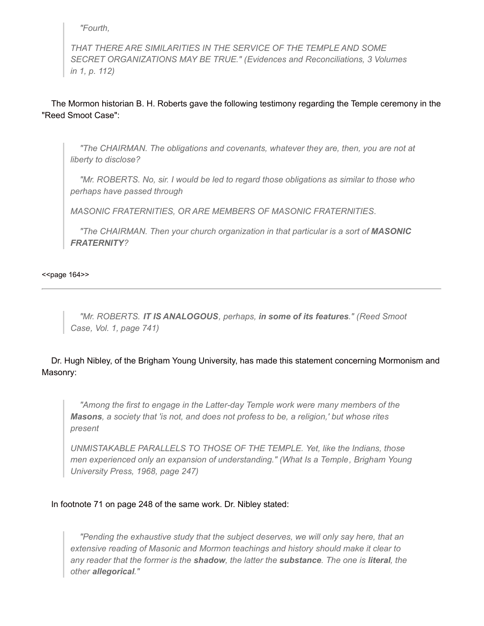*"Fourth,*

*THAT THERE ARE SIMILARITIES IN THE SERVICE OF THE TEMPLE AND SOME SECRET ORGANIZATIONS MAY BE TRUE." (Evidences and Reconciliations, 3 Volumes in 1, p. 112)*

The Mormon historian B. H. Roberts gave the following testimony regarding the Temple ceremony in the "Reed Smoot Case":

*"The CHAIRMAN. The obligations and covenants, whatever they are, then, you are not at liberty to disclose?*

*"Mr. ROBERTS. No, sir. I would be led to regard those obligations as similar to those who perhaps have passed through*

*MASONIC FRATERNITIES, OR ARE MEMBERS OF MASONIC FRATERNlTIES.*

*"The CHAIRMAN. Then your church organization in that particular is a sort of MASONIC FRATERNITY?*

<<br />page 164>>

*"Mr. ROBERTS. IT IS ANALOGOUS, perhaps, in some of its features." (Reed Smoot Case, Vol. 1, page 741)*

## Dr. Hugh Nibley, of the Brigham Young University, has made this statement concerning Mormonism and Masonry:

*"Among the first to engage in the Latter-day Temple work were many members of the Masons, a society that 'is not, and does not profess to be, a religion,' but whose rites present*

*UNMISTAKABLE PARALLELS TO THOSE OF THE TEMPLE. Yet, like the Indians, those men experienced only an expansion of understanding." (What Is a Temple, Brigham Young University Press, 1968, page 247)*

## In footnote 71 on page 248 of the same work. Dr. Nibley stated:

*"Pending the exhaustive study that the subject deserves, we will only say here, that an extensive reading of Masonic and Mormon teachings and history should make it clear to* any reader that the former is the shadow, the latter the substance. The one is literal, the *other allegorical."*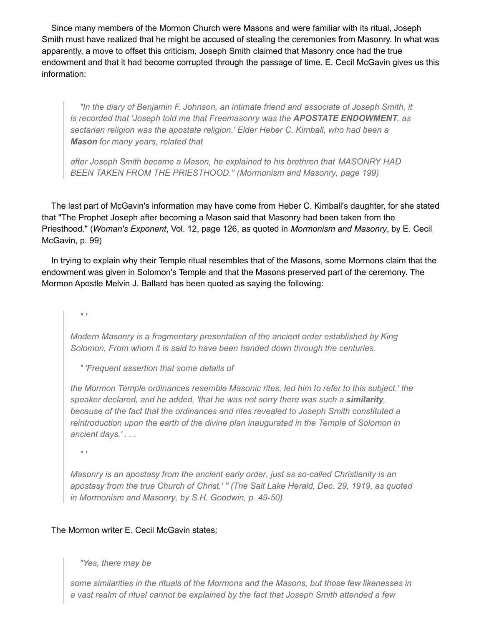Since many members of the Mormon Church were Masons and were familiar with its ritual, Joseph Smith must have realized that he might be accused of stealing the ceremonies from Masonry. In what was apparently, a move to offset this criticism, Joseph Smith claimed that Masonry once had the true endowment and that it had become corrupted through the passage of time. E. Cecil McGavin gives us this information:

*"In the diary of Benjamin F. Johnson, an intimate friend and associate of Joseph Smith, it is recorded that 'Joseph told me that Freemasonry was the APOSTATE ENDOWMENT, as sectarian religion was the apostate religion.' Elder Heber C. Kimball, who had been a Mason for many years, related that*

*after Joseph Smith became a Mason, he explained to his brethren that MASONRY HAD BEEN TAKEN FROM THE PRIESTHOOD." (Mormonism and Masonry, page 199)*

The last part of McGavin's information may have come from Heber C. Kimball's daughter, for she stated that "The Prophet Joseph after becoming a Mason said that Masonry had been taken from the Priesthood." (*Woman's Exponent*, Vol. 12, page 126, as quoted in *Mormonism and Masonry*, by E. Cecil McGavin, p. 99)

In trying to explain why their Temple ritual resembles that of the Masons, some Mormons claim that the endowment was given in Solomon's Temple and that the Masons preserved part of the ceremony. The Mormon Apostle Melvin J. Ballard has been quoted as saying the following:

 $\mathbf{v}$   $\mathbf{r}$ 

*Modern Masonry is a fragmentary presentation of the ancient order established by King Solomon, From whom it is said to have been handed down through the centuries.*

*" 'Frequent assertion that some details of*

*the Mormon Temple ordinances resemble Masonic rites, led him to refer to this subject.' the speaker declared, and he added, 'that he was not sorry there was such a similarity, because of the fact that the ordinances and rites revealed to Joseph Smith constituted a reintroduction upon the earth of the divine plan inaugurated in the Temple of Solomon in ancient days.' . . .*

*" '*

*Masonry is an apostasy from the ancient early order, just as so-called Christianity is an apostasy from the true Church of Christ.' " (The Salt Lake Herald, Dec. 29, 1919, as quoted in Mormonism and Masonry, by S.H. Goodwin, p. 49-50)*

## The Mormon writer E. Cecil McGavin states:

## *"Yes, there may be*

*some similarities in the rituals of the Mormons and the Masons, but those few likenesses in a vast realm of ritual cannot be explained by the fact that Joseph Smith attended a few*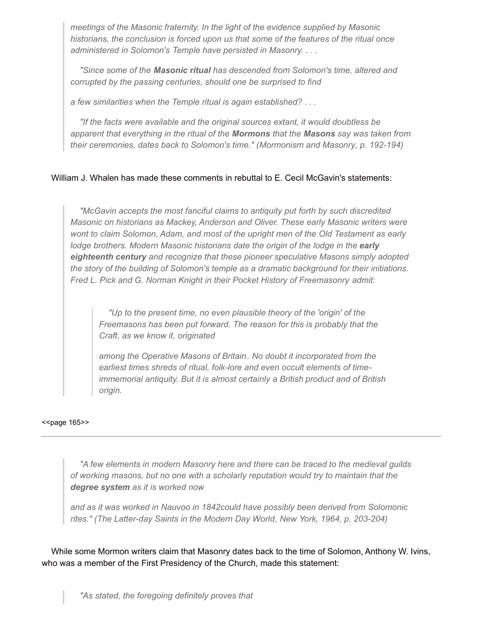*meetings of the Masonic fraternity. In the light of the evidence supplied by Masonic historians, the conclusion is forced upon us that some of the features of the ritual once administered in Solomon's Temple have persisted in Masonry. . . .*

*"Since some of the Masonic ritual has descended from Solomon's time, altered and corrupted by the passing centuries, should one be surprised to find*

*a few similarities when the Temple ritual is again established? . . .*

*"If the facts were available and the original sources extant, it would doubtless be apparent that everything in the ritual of the Mormons that the Masons say was taken from their ceremonies, dates back to Solomon's time." (Mormonism and Masonry, p. 192-194)*

## William J. Whalen has made these comments in rebuttal to E. Cecil McGavin's statements:

*"McGavin accepts the most fanciful claims to antiquity put forth by such discredited Masonic on historians as Mackey, Anderson and Oliver. These early Masonic writers were wont to claim Solomon, Adam, and most of the upright men of the Old Testament as early lodge brothers. Modern Masonic historians date the origin of the lodge in the early eighteenth century and recognize that these pioneer speculative Masons simply adopted the story of the building of Solomon's temple as a dramatic background for their initiations. Fred L. Pick and G. Norman Knight in their Pocket History of Freemasonry admit:*

*"Up to the present time, no even plausible theory of the 'origin' of the Freemasons has been put forward. The reason for this is probably that the Craft, as we know it, originated*

*among the Operative Masons of Britain. No doubt it incorporated from the earliest times shreds of ritual, folk-lore and even occult elements of timeimmemorial antiquity. But it is almost certainly a British product and of British origin.*

#### <<br />page 165>>

*"A few elements in modern Masonry here and there can be traced to the medieval guilds of working masons, but no one with a scholarly reputation would try to maintain that the degree system as it is worked now*

*and as it was worked in Nauvoo in 1842could have possibly been derived from Solomonic rites." (The Latter-day Saints in the Modern Day World, New York, 1964, p. 203-204)*

While some Mormon writers claim that Masonry dates back to the time of Solomon, Anthony W. Ivins, who was a member of the First Presidency of the Church, made this statement: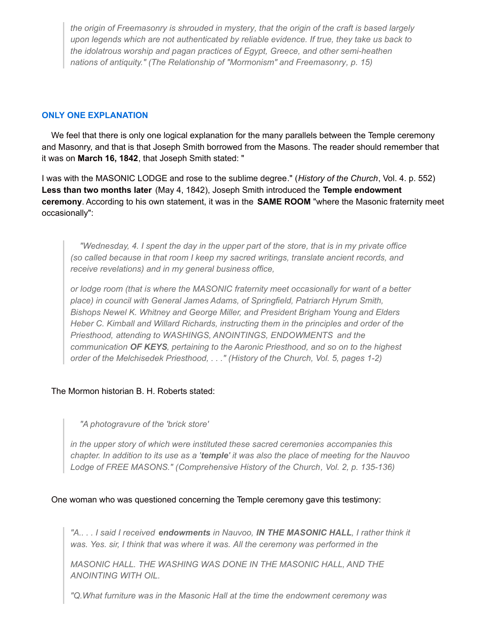*the origin of Freemasonry is shrouded in mystery, that the origin of the craft is based largely upon legends which are not authenticated by reliable evidence. If true, they take us back to the idolatrous worship and pagan practices of Egypt, Greece, and other semi-heathen nations of antiquity." (The Relationship of "Mormonism" and Freemasonry, p. 15)*

## **ONLY ONE EXPLANATION**

We feel that there is only one logical explanation for the many parallels between the Temple ceremony and Masonry, and that is that Joseph Smith borrowed from the Masons. The reader should remember that it was on **March 16, 1842**, that Joseph Smith stated: "

I was with the MASONIC LODGE and rose to the sublime degree." (*History of the Church*, Vol. 4. p. 552) **Less than two months later** (May 4, 1842), Joseph Smith introduced the **Temple endowment ceremony**. According to his own statement, it was in the **SAME ROOM** "where the Masonic fraternity meet occasionally":

*"Wednesday, 4. I spent the day in the upper part of the store, that is in my private office (so called because in that room I keep my sacred writings, translate ancient records, and receive revelations) and in my general business office,*

*or lodge room (that is where the MASONIC fraternity meet occasionally for want of a better place) in council with General James Adams, of Springfield, Patriarch Hyrum Smith, Bishops Newel K. Whitney and George Miller, and President Brigham Young and Elders Heber C. Kimball and Willard Richards, instructing them in the principles and order of the Priesthood, attending to WASHINGS, ANOINTINGS, ENDOWMENTS and the communication OF KEYS, pertaining to the Aaronic Priesthood, and so on to the highest order of the Melchisedek Priesthood, . . ." (History of the Church, Vol. 5, pages 1-2)*

## The Mormon historian B. H. Roberts stated:

*"A photogravure of the 'brick store'*

*in the upper story of which were instituted these sacred ceremonies accompanies this* chapter. In addition to its use as a 'temple' it was also the place of meeting for the Nauvoo *Lodge of FREE MASONS." (Comprehensive History of the Church, Vol. 2, p. 135-136)*

## One woman who was questioned concerning the Temple ceremony gave this testimony:

*"A.. . . I said I received endowments in Nauvoo, IN THE MASONIC HALL, I rather think it was. Yes. sir, I think that was where it was. All the ceremony was performed in the*

*MASONIC HALL. THE WASHING WAS DONE IN THE MASONIC HALL, AND THE ANOINTING WITH OIL.*

*"Q.What furniture was in the Masonic Hall at the time the endowment ceremony was*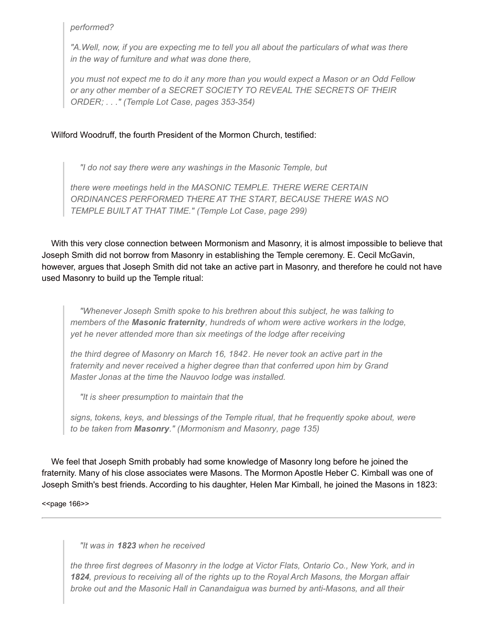*performed?*

*"A.Well, now, if you are expecting me to tell you all about the particulars of what was there in the way of furniture and what was done there,*

you must not expect me to do it any more than you would expect a Mason or an Odd Fellow *or any other member of a SECRET SOCIETY TO REVEAL THE SECRETS OF THEIR ORDER; . . ." (Temple Lot Case, pages 353-354)*

## Wilford Woodruff, the fourth President of the Mormon Church, testified:

*"I do not say there were any washings in the Masonic Temple, but*

*there were meetings held in the MASONIC TEMPLE. THERE WERE CERTAIN ORDINANCES PERFORMED THERE AT THE START, BECAUSE THERE WAS NO TEMPLE BUILT AT THAT TIME." (Temple Lot Case, page 299)*

With this very close connection between Mormonism and Masonry, it is almost impossible to believe that Joseph Smith did not borrow from Masonry in establishing the Temple ceremony. E. Cecil McGavin, however, argues that Joseph Smith did not take an active part in Masonry, and therefore he could not have used Masonry to build up the Temple ritual:

*"Whenever Joseph Smith spoke to his brethren about this subject, he was talking to members of the Masonic fraternity, hundreds of whom were active workers in the lodge, yet he never attended more than six meetings of the lodge after receiving*

*the third degree of Masonry on March 16, 1842. He never took an active part in the fraternity and never received a higher degree than that conferred upon him by Grand Master Jonas at the time the Nauvoo lodge was installed.*

*"It is sheer presumption to maintain that the*

*signs, tokens, keys, and blessings of the Temple ritual, that he frequently spoke about, were to be taken from Masonry." (Mormonism and Masonry, page 135)*

We feel that Joseph Smith probably had some knowledge of Masonry long before he joined the fraternity. Many of his close associates were Masons. The Mormon Apostle Heber C. Kimball was one of Joseph Smith's best friends. According to his daughter, Helen Mar Kimball, he joined the Masons in 1823:

<<br />page 166>>

*"It was in 1823 when he received*

*the three first degrees of Masonry in the lodge at Victor Flats, Ontario Co., New York, and in 1824, previous to receiving all of the rights up to the Royal Arch Masons, the Morgan affair broke out and the Masonic Hall in Canandaigua was burned by anti-Masons, and all their*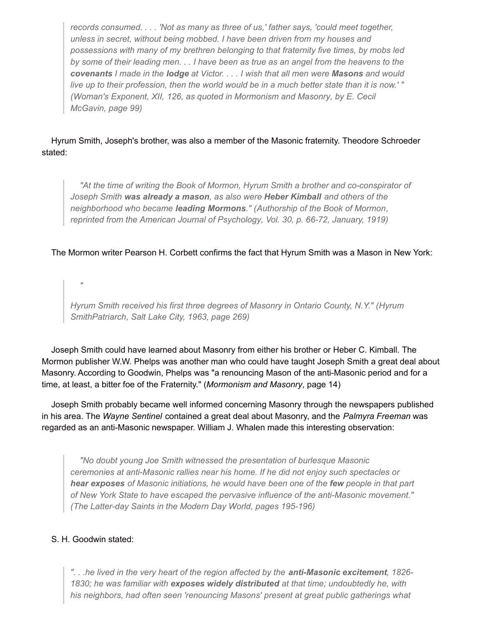*records consumed. . . . 'Not as many as three of us,' father says, 'could meet together, unless in secret, without being mobbed. I have been driven from my houses and possessions with many of my brethren belonging to that fraternity five times, by mobs led* by some of their leading men. . . I have been as true as an angel from the heavens to the covenants I made in the lodge at Victor. . . . I wish that all men were Masons and would live up to their profession, then the world would be in a much better state than it is now.'" *(Woman's Exponent, XII, 126, as quoted in Mormonism and Masonry, by E. Cecil McGavin, page 99)*

## Hyrum Smith, Joseph's brother, was also a member of the Masonic fraternity. Theodore Schroeder stated:

*"At the time of writing the Book of Mormon, Hyrum Smith a brother and co-conspirator of Joseph Smith was already a mason, as also were Heber Kimball and others of the neighborhood who became leading Mormons." (Authorship of the Book of Mormon, reprinted from the American Journal of Psychology, Vol. 30, p. 66-72, January, 1919)*

The Mormon writer Pearson H. Corbett confirms the fact that Hyrum Smith was a Mason in New York:

*"*

*Hyrum Smith received his first three degrees of Masonry in Ontario County, N.Y." (Hyrum SmithPatriarch, Salt Lake City, 1963, page 269)*

Joseph Smith could have learned about Masonry from either his brother or Heber C. Kimball. The Mormon publisher W.W. Phelps was another man who could have taught Joseph Smith a great deal about Masonry. According to Goodwin, Phelps was "a renouncing Mason of the anti-Masonic period and for a time, at least, a bitter foe of the Fraternity." (*Mormonism and Masonry*, page 14)

Joseph Smith probably became well informed concerning Masonry through the newspapers published in his area. The *Wayne Sentinel* contained a great deal about Masonry, and the *Palmyra Freeman* was regarded as an anti-Masonic newspaper. William J. Whalen made this interesting observation:

*"No doubt young Joe Smith witnessed the presentation of burlesque Masonic ceremonies at anti-Masonic rallies near his home. If he did not enjoy such spectacles or hear exposes of Masonic initiations, he would have been one of the few people in that part of New York State to have escaped the pervasive influence of the anti-Masonic movement." (The Latter-day Saints in the Modern Day World, pages 195-196)*

## S. H. Goodwin stated:

*". . .he lived in the very heart of the region affected by the anti-Masonic excitement, 1826- 1830; he was familiar with exposes widely distributed at that time; undoubtedly he, with his neighbors, had often seen 'renouncing Masons' present at great public gatherings what*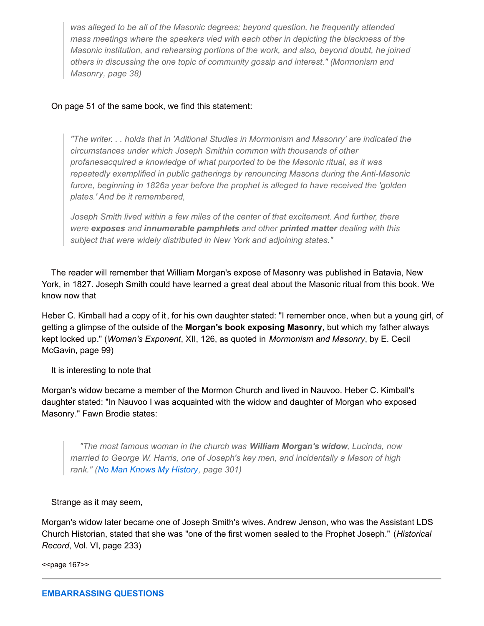*was alleged to be all of the Masonic degrees; beyond question, he frequently attended mass meetings where the speakers vied with each other in depicting the blackness of the Masonic institution, and rehearsing portions of the work, and also, beyond doubt, he joined others in discussing the one topic of community gossip and interest." (Mormonism and Masonry, page 38)*

## On page 51 of the same book, we find this statement:

*"The writer. . . holds that in 'Aditional Studies in Mormonism and Masonry' are indicated the circumstances under which Joseph Smithin common with thousands of other profanesacquired a knowledge of what purported to be the Masonic ritual, as it was repeatedly exemplified in public gatherings by renouncing Masons during the Anti-Masonic furore, beginning in 1826a year before the prophet is alleged to have received the 'golden plates.' And be it remembered,*

*Joseph Smith lived within a few miles of the center of that excitement. And further, there were exposes and innumerable pamphlets and other printed matter dealing with this subject that were widely distributed in New York and adjoining states."*

The reader will remember that William Morgan's expose of Masonry was published in Batavia, New York, in 1827. Joseph Smith could have learned a great deal about the Masonic ritual from this book. We know now that

Heber C. Kimball had a copy of it, for his own daughter stated: "I remember once, when but a young girl, of getting a glimpse of the outside of the **Morgan's book exposing Masonry**, but which my father always kept locked up." (*Woman's Exponent*, XII, 126, as quoted in *Mormonism and Masonry*, by E. Cecil McGavin, page 99)

It is interesting to note that

Morgan's widow became a member of the Mormon Church and lived in Nauvoo. Heber C. Kimball's daughter stated: "In Nauvoo I was acquainted with the widow and daughter of Morgan who exposed Masonry." Fawn Brodie states:

*"The most famous woman in the church was William Morgan's widow, Lucinda, now married to George W. Harris, one of Joseph's key men, and incidentally a Mason of high rank." (No Man Knows My [History](http://www.utlm.org/booklist/titles/nomanknowsmyhistorypaperback_xb010.htm), page 301)*

Strange as it may seem,

Morgan's widow later became one of Joseph Smith's wives. Andrew Jenson, who was the Assistant LDS Church Historian, stated that she was "one of the first women sealed to the Prophet Joseph." (*Historical Record*, Vol. VI, page 233)

<<page 167>>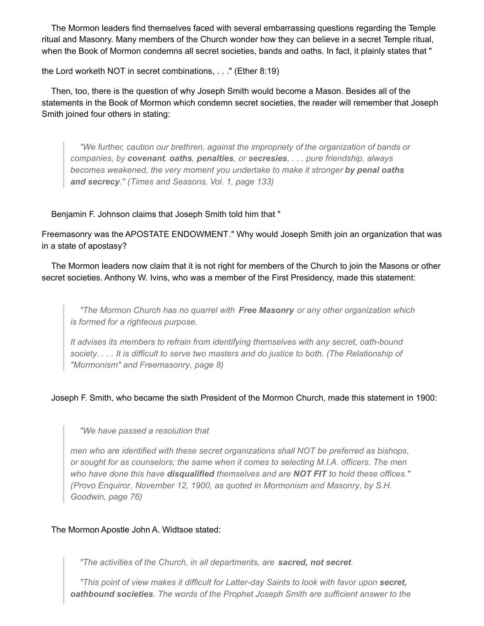The Mormon leaders find themselves faced with several embarrassing questions regarding the Temple ritual and Masonry. Many members of the Church wonder how they can believe in a secret Temple ritual, when the Book of Mormon condemns all secret societies, bands and oaths. In fact, it plainly states that "

the Lord worketh NOT in secret combinations, . . ." (Ether 8:19)

Then, too, there is the question of why Joseph Smith would become a Mason. Besides all of the statements in the Book of Mormon which condemn secret societies, the reader will remember that Joseph Smith joined four others in stating:

*"We further, caution our brethren, against the impropriety of the organization of bands or companies, by covenant, oaths, penalties, or secresies, . . . pure friendship, always becomes weakened, the very moment you undertake to make it stronger by penal oaths and secrecy." (Times and Seasons, Vol. 1, page 133)*

Benjamin F. Johnson claims that Joseph Smith told him that "

Freemasonry was the APOSTATE ENDOWMENT." Why would Joseph Smith join an organization that was in a state of apostasy?

The Mormon leaders now claim that it is not right for members of the Church to join the Masons or other secret societies. Anthony W. Ivins, who was a member of the First Presidency, made this statement:

*"The Mormon Church has no quarrel with Free Masonry or any other organization which is formed for a righteous purpose.*

*It advises its members to refrain from identifying themselves with any secret, oath-bound* society.... It is difficult to serve two masters and do justice to both. (The Relationship of *"Mormonism" and Freemasonry, page 8)*

Joseph F. Smith, who became the sixth President of the Mormon Church, made this statement in 1900:

*"We have passed a resolution that*

*men who are identified with these secret organizations shall NOT be preferred as bishops, or sought for as counselors; the same when it comes to selecting M.I.A. officers. The men who have done this have disqualified themselves and are NOT FIT to hold these offices." (Provo Enquiror, November 12, 1900, as quoted in Mormonism and Masonry, by S.H. Goodwin, page 76)*

## The Mormon Apostle John A. Widtsoe stated:

*"The activities of the Church, in all departments, are sacred, not secret.*

*"This point of view makes it difficult for Latter-day Saints to look with favor upon secret, oathbound societies. The words of the Prophet Joseph Smith are sufficient answer to the*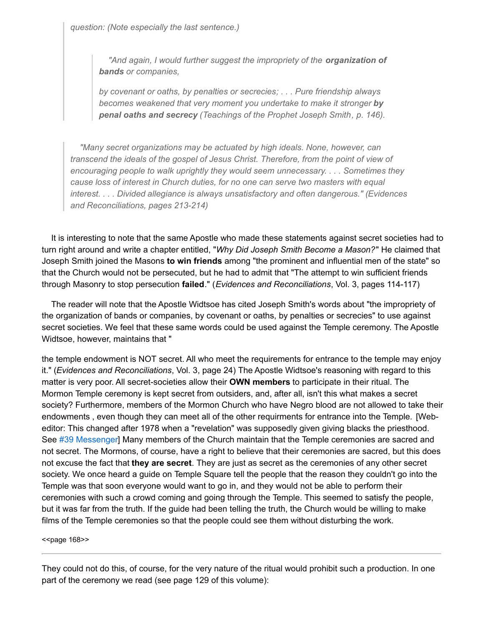*question: (Note especially the last sentence.)*

*"And again, I would further suggest the impropriety of the organization of bands or companies,*

*by covenant or oaths, by penalties or secrecies; . . . Pure friendship always becomes weakened that very moment you undertake to make it stronger by penal oaths and secrecy (Teachings of the Prophet Joseph Smith, p. 146).*

*"Many secret organizations may be actuated by high ideals. None, however, can transcend the ideals of the gospel of Jesus Christ. Therefore, from the point of view of encouraging people to walk uprightly they would seem unnecessary. . . . Sometimes they cause loss of interest in Church duties, for no one can serve two masters with equal interest. . . . Divided allegiance is always unsatisfactory and often dangerous." (Evidences and Reconciliations, pages 213-214)*

It is interesting to note that the same Apostle who made these statements against secret societies had to turn right around and write a chapter entitled, "*Why Did Joseph Smith Become a Mason?*" He claimed that Joseph Smith joined the Masons **to win friends** among "the prominent and influential men of the state" so that the Church would not be persecuted, but he had to admit that "The attempt to win sufficient friends through Masonry to stop persecution **failed**." (*Evidences and Reconciliations*, Vol. 3, pages 114-117)

The reader will note that the Apostle Widtsoe has cited Joseph Smith's words about "the impropriety of the organization of bands or companies, by covenant or oaths, by penalties or secrecies" to use against secret societies. We feel that these same words could be used against the Temple ceremony. The Apostle Widtsoe, however, maintains that "

the temple endowment is NOT secret. All who meet the requirements for entrance to the temple may enjoy it." (*Evidences and Reconciliations*, Vol. 3, page 24) The Apostle Widtsoe's reasoning with regard to this matter is very poor. All secret-societies allow their **OWN members** to participate in their ritual. The Mormon Temple ceremony is kept secret from outsiders, and, after all, isn't this what makes a secret society? Furthermore, members of the Mormon Church who have Negro blood are not allowed to take their endowments , even though they can meet all of the other requirments for entrance into the Temple. [Webeditor: This changed after 1978 when a "revelation" was supposedly given giving blacks the priesthood. See #39 [Messenger](http://www.utlm.org/newsletters/no39.htm)] Many members of the Church maintain that the Temple ceremonies are sacred and not secret. The Mormons, of course, have a right to believe that their ceremonies are sacred, but this does not excuse the fact that **they are secret**. They are just as secret as the ceremonies of any other secret society. We once heard a guide on Temple Square tell the people that the reason they couldn't go into the Temple was that soon everyone would want to go in, and they would not be able to perform their ceremonies with such a crowd coming and going through the Temple. This seemed to satisfy the people, but it was far from the truth. If the guide had been telling the truth, the Church would be willing to make films of the Temple ceremonies so that the people could see them without disturbing the work.

<<page 168>>

They could not do this, of course, for the very nature of the ritual would prohibit such a production. In one part of the ceremony we read (see page 129 of this volume):